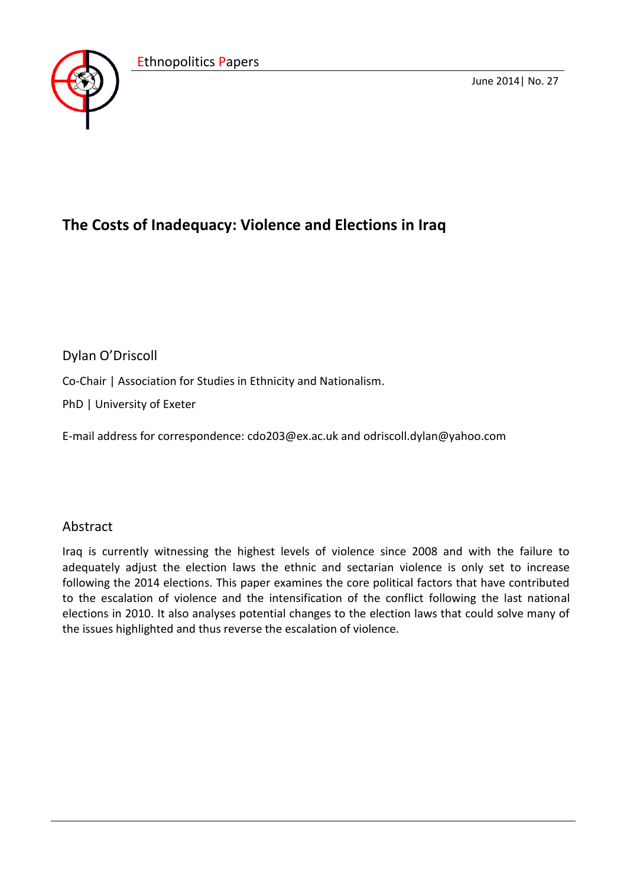

June 2014| No. 27

# **The Costs of Inadequacy: Violence and Elections in Iraq**

Dylan O'Driscoll

Co-Chair | Association for Studies in Ethnicity and Nationalism.

PhD | University of Exeter

E-mail address for correspondence: cdo203@ex.ac.uk and odriscoll.dylan@yahoo.com

# Abstract

Iraq is currently witnessing the highest levels of violence since 2008 and with the failure to adequately adjust the election laws the ethnic and sectarian violence is only set to increase following the 2014 elections. This paper examines the core political factors that have contributed to the escalation of violence and the intensification of the conflict following the last national elections in 2010. It also analyses potential changes to the election laws that could solve many of the issues highlighted and thus reverse the escalation of violence.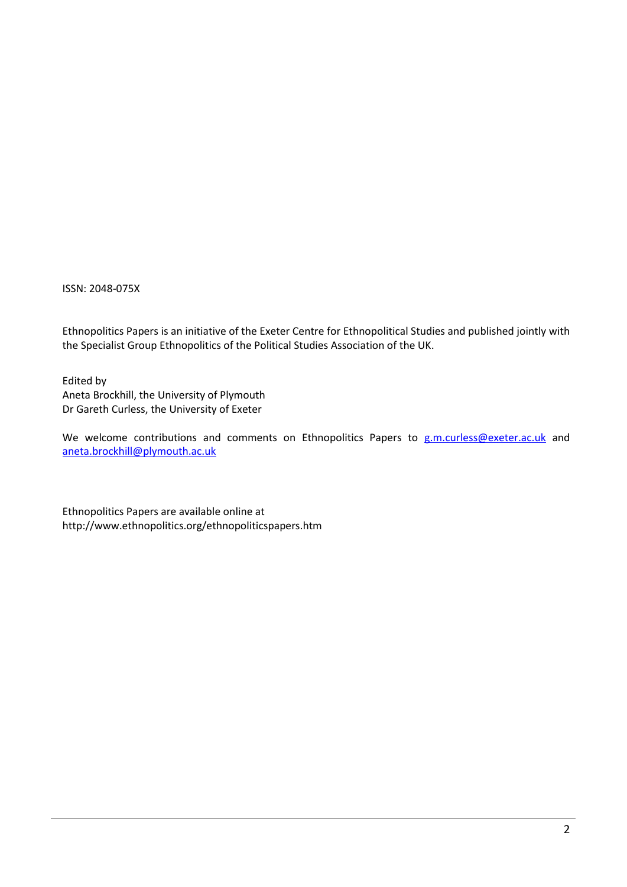ISSN: 2048-075X

Ethnopolitics Papers is an initiative of the Exeter Centre for Ethnopolitical Studies and published jointly with the Specialist Group Ethnopolitics of the Political Studies Association of the UK.

Edited by Aneta Brockhill, the University of Plymouth Dr Gareth Curless, the University of Exeter

We welcome contributions and comments on Ethnopolitics Papers to [g.m.curless@exeter.ac.uk](mailto:g.m.curless@exeter.ac.uk) and [aneta.brockhill@plymouth.ac.uk](mailto:aneta.brockhill@plymouth.ac.uk)

Ethnopolitics Papers are available online at http://www.ethnopolitics.org/ethnopoliticspapers.htm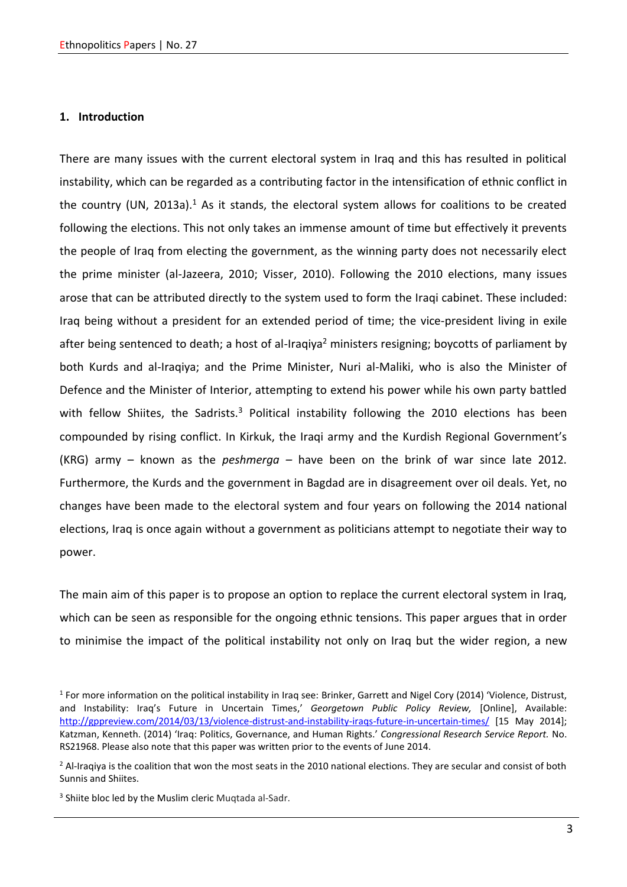#### **1. Introduction**

There are many issues with the current electoral system in Iraq and this has resulted in political instability, which can be regarded as a contributing factor in the intensification of ethnic conflict in the country (UN, 2013a).<sup>1</sup> As it stands, the electoral system allows for coalitions to be created following the elections. This not only takes an immense amount of time but effectively it prevents the people of Iraq from electing the government, as the winning party does not necessarily elect the prime minister (al-Jazeera, 2010; Visser, 2010). Following the 2010 elections, many issues arose that can be attributed directly to the system used to form the Iraqi cabinet. These included: Iraq being without a president for an extended period of time; the vice-president living in exile after being sentenced to death; a host of al-Iragiya<sup>2</sup> ministers resigning; boycotts of parliament by both Kurds and al-Iraqiya; and the Prime Minister, Nuri al-Maliki, who is also the Minister of Defence and the Minister of Interior, attempting to extend his power while his own party battled with fellow Shiites, the Sadrists. $3$  Political instability following the 2010 elections has been compounded by rising conflict. In Kirkuk, the Iraqi army and the Kurdish Regional Government's (KRG) army – known as the *peshmerga –* have been on the brink of war since late 2012. Furthermore, the Kurds and the government in Bagdad are in disagreement over oil deals. Yet, no changes have been made to the electoral system and four years on following the 2014 national elections, Iraq is once again without a government as politicians attempt to negotiate their way to power.

The main aim of this paper is to propose an option to replace the current electoral system in Iraq, which can be seen as responsible for the ongoing ethnic tensions. This paper argues that in order to minimise the impact of the political instability not only on Iraq but the wider region, a new

<sup>&</sup>lt;sup>1</sup> For more information on the political instability in Iraq see: Brinker, Garrett and Nigel Cory (2014) 'Violence, Distrust, and Instability: Iraq's Future in Uncertain Times,' *Georgetown Public Policy Review,* [Online], Available: <http://gppreview.com/2014/03/13/violence-distrust-and-instability-iraqs-future-in-uncertain-times/> [15 May 2014]; Katzman, Kenneth. (2014) 'Iraq: Politics, Governance, and Human Rights.' *Congressional Research Service Report.* No. RS21968. Please also note that this paper was written prior to the events of June 2014.

 $<sup>2</sup>$  Al-Iraqiya is the coalition that won the most seats in the 2010 national elections. They are secular and consist of both</sup> Sunnis and Shiites.

<sup>&</sup>lt;sup>3</sup> Shiite bloc led by the Muslim cleric Muqtada al-Sadr.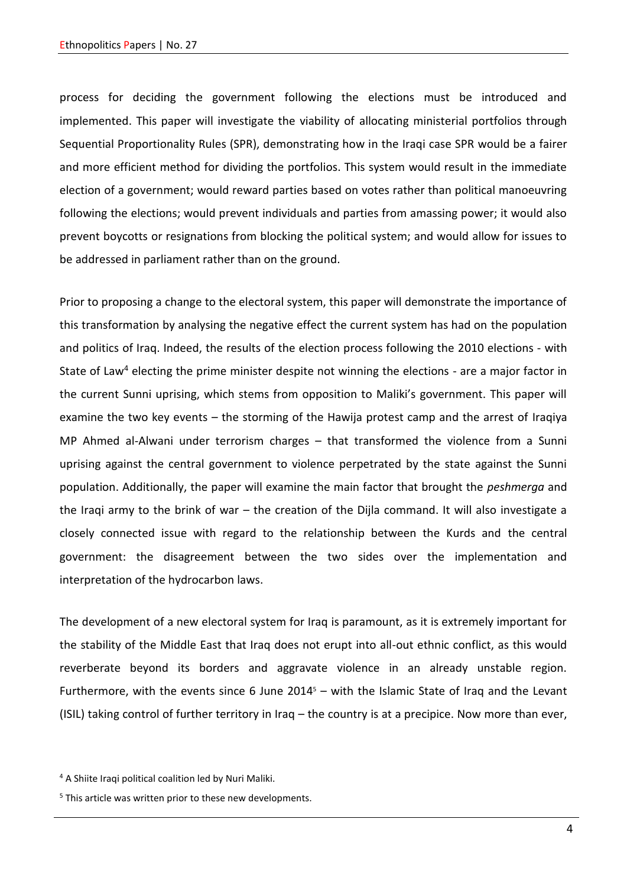process for deciding the government following the elections must be introduced and implemented. This paper will investigate the viability of allocating ministerial portfolios through Sequential Proportionality Rules (SPR), demonstrating how in the Iraqi case SPR would be a fairer and more efficient method for dividing the portfolios. This system would result in the immediate election of a government; would reward parties based on votes rather than political manoeuvring following the elections; would prevent individuals and parties from amassing power; it would also prevent boycotts or resignations from blocking the political system; and would allow for issues to be addressed in parliament rather than on the ground.

Prior to proposing a change to the electoral system, this paper will demonstrate the importance of this transformation by analysing the negative effect the current system has had on the population and politics of Iraq. Indeed, the results of the election process following the 2010 elections - with State of Law<sup>4</sup> electing the prime minister despite not winning the elections - are a major factor in the current Sunni uprising, which stems from opposition to Maliki's government. This paper will examine the two key events – the storming of the Hawija protest camp and the arrest of Iraqiya MP Ahmed al-Alwani under terrorism charges – that transformed the violence from a Sunni uprising against the central government to violence perpetrated by the state against the Sunni population. Additionally, the paper will examine the main factor that brought the *peshmerga* and the Iraqi army to the brink of war – the creation of the Dijla command. It will also investigate a closely connected issue with regard to the relationship between the Kurds and the central government: the disagreement between the two sides over the implementation and interpretation of the hydrocarbon laws.

The development of a new electoral system for Iraq is paramount, as it is extremely important for the stability of the Middle East that Iraq does not erupt into all-out ethnic conflict, as this would reverberate beyond its borders and aggravate violence in an already unstable region. Furthermore, with the events since 6 June  $2014<sup>5</sup>$  – with the Islamic State of Iraq and the Levant (ISIL) taking control of further territory in Iraq – the country is at a precipice. Now more than ever,

<sup>4</sup> A Shiite Iraqi political coalition led by Nuri Maliki.

<sup>&</sup>lt;sup>5</sup> This article was written prior to these new developments.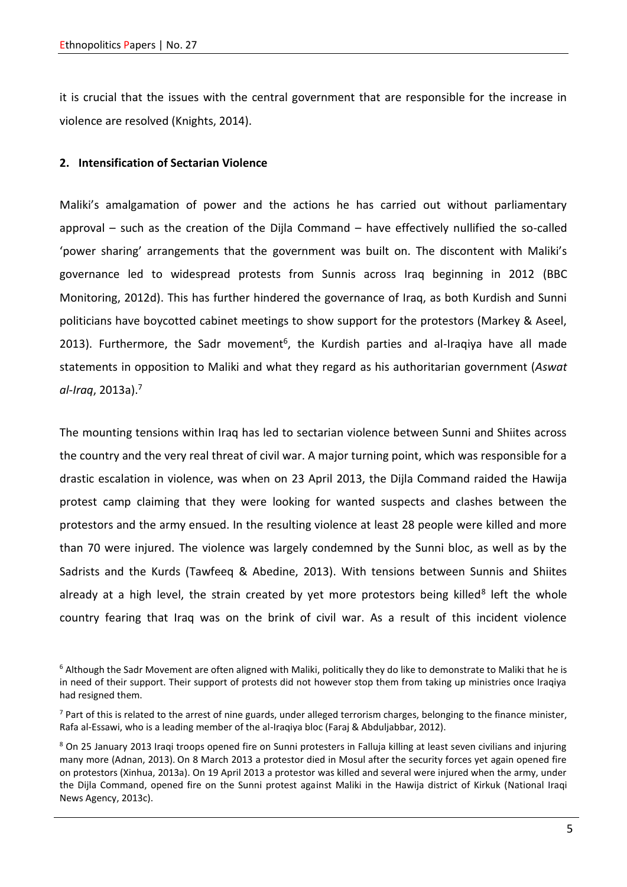it is crucial that the issues with the central government that are responsible for the increase in violence are resolved (Knights, 2014).

#### **2. Intensification of Sectarian Violence**

Maliki's amalgamation of power and the actions he has carried out without parliamentary approval – such as the creation of the Dijla Command – have effectively nullified the so-called 'power sharing' arrangements that the government was built on. The discontent with Maliki's governance led to widespread protests from Sunnis across Iraq beginning in 2012 (BBC Monitoring, 2012d). This has further hindered the governance of Iraq, as both Kurdish and Sunni politicians have boycotted cabinet meetings to show support for the protestors (Markey & Aseel, 2013). Furthermore, the Sadr movement<sup>6</sup>, the Kurdish parties and al-Iraqiya have all made statements in opposition to Maliki and what they regard as his authoritarian government (*Aswat al-Iraq*, 2013a).<sup>7</sup>

The mounting tensions within Iraq has led to sectarian violence between Sunni and Shiites across the country and the very real threat of civil war. A major turning point, which was responsible for a drastic escalation in violence, was when on 23 April 2013, the Dijla Command raided the Hawija protest camp claiming that they were looking for wanted suspects and clashes between the protestors and the army ensued. In the resulting violence at least 28 people were killed and more than 70 were injured. The violence was largely condemned by the Sunni bloc, as well as by the Sadrists and the Kurds (Tawfeeq & Abedine, 2013). With tensions between Sunnis and Shiites already at a high level, the strain created by yet more protestors being killed<sup>8</sup> left the whole country fearing that Iraq was on the brink of civil war. As a result of this incident violence

<sup>&</sup>lt;sup>6</sup> Although the Sadr Movement are often aligned with Maliki, politically they do like to demonstrate to Maliki that he is in need of their support. Their support of protests did not however stop them from taking up ministries once Iraqiya had resigned them.

<sup>&</sup>lt;sup>7</sup> Part of this is related to the arrest of nine guards, under alleged terrorism charges, belonging to the finance minister, Rafa al-Essawi, who is a leading member of the al-Iraqiya bloc (Faraj & Abduljabbar, 2012).

<sup>8</sup> On 25 January 2013 Iraqi troops opened fire on Sunni protesters in Falluja killing at least seven civilians and injuring many more (Adnan, 2013). On 8 March 2013 a protestor died in Mosul after the security forces yet again opened fire on protestors (Xinhua, 2013a). On 19 April 2013 a protestor was killed and several were injured when the army, under the Dijla Command, opened fire on the Sunni protest against Maliki in the Hawija district of Kirkuk (National Iraqi News Agency, 2013c).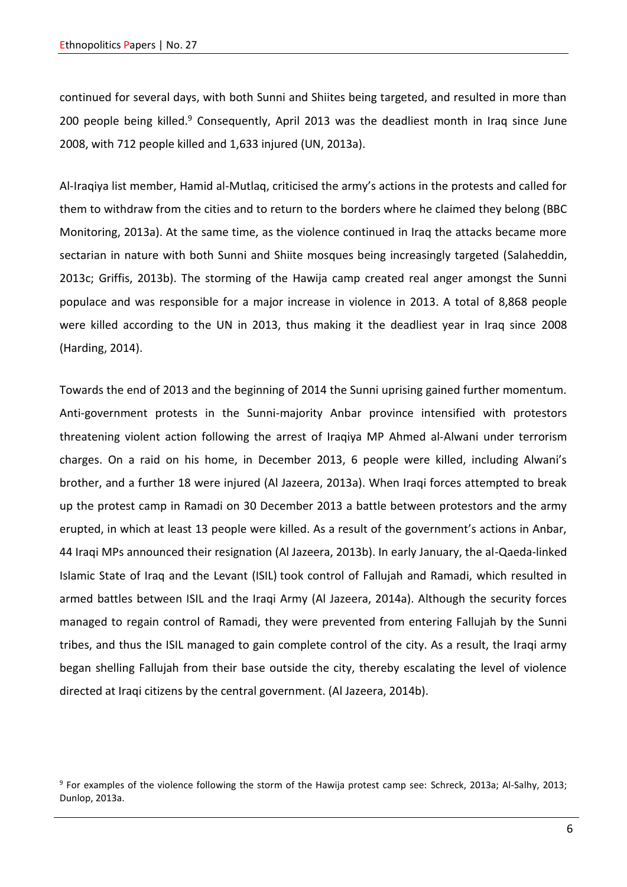continued for several days, with both Sunni and Shiites being targeted, and resulted in more than 200 people being killed.<sup>9</sup> Consequently, April 2013 was the deadliest month in Iraq since June 2008, with 712 people killed and 1,633 injured (UN, 2013a).

Al-Iraqiya list member, Hamid al-Mutlaq, criticised the army's actions in the protests and called for them to withdraw from the cities and to return to the borders where he claimed they belong (BBC Monitoring, 2013a). At the same time, as the violence continued in Iraq the attacks became more sectarian in nature with both Sunni and Shiite mosques being increasingly targeted (Salaheddin, 2013c; Griffis, 2013b). The storming of the Hawija camp created real anger amongst the Sunni populace and was responsible for a major increase in violence in 2013. A total of 8,868 people were killed according to the UN in 2013, thus making it the deadliest year in Iraq since 2008 (Harding, 2014).

Towards the end of 2013 and the beginning of 2014 the Sunni uprising gained further momentum. Anti-government protests in the Sunni-majority Anbar province intensified with protestors threatening violent action following the arrest of Iraqiya MP Ahmed al-Alwani under terrorism charges. On a raid on his home, in December 2013, 6 people were killed, including Alwani's brother, and a further 18 were injured (Al Jazeera, 2013a). When Iraqi forces attempted to break up the protest camp in Ramadi on 30 December 2013 a battle between protestors and the army erupted, in which at least 13 people were killed. As a result of the government's actions in Anbar, 44 Iraqi MPs announced their resignation (Al Jazeera, 2013b). In early January, the al-Qaeda-linked Islamic State of Iraq and the Levant (ISIL) took control of Fallujah and Ramadi, which resulted in armed battles between ISIL and the Iraqi Army (Al Jazeera, 2014a). Although the security forces managed to regain control of Ramadi, they were prevented from entering Fallujah by the Sunni tribes, and thus the ISIL managed to gain complete control of the city. As a result, the Iraqi army began shelling Fallujah from their base outside the city, thereby escalating the level of violence directed at Iraqi citizens by the central government. (Al Jazeera, 2014b).

<sup>&</sup>lt;sup>9</sup> For examples of the violence following the storm of the Hawija protest camp see: Schreck, 2013a; Al-Salhy, 2013; Dunlop, 2013a.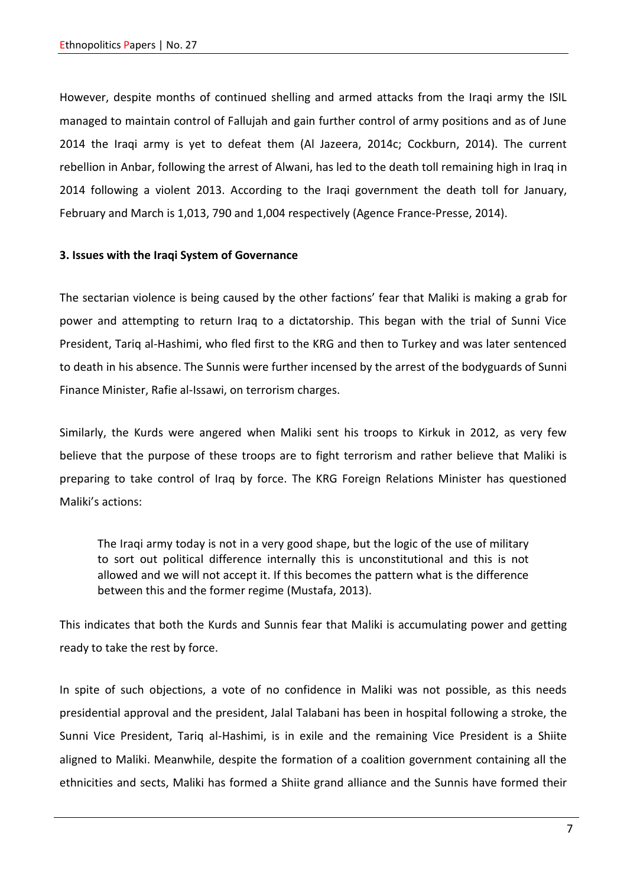However, despite months of continued shelling and armed attacks from the Iraqi army the ISIL managed to maintain control of Fallujah and gain further control of army positions and as of June 2014 the Iraqi army is yet to defeat them (Al Jazeera, 2014c; Cockburn, 2014). The current rebellion in Anbar, following the arrest of Alwani, has led to the death toll remaining high in Iraq in 2014 following a violent 2013. According to the Iraqi government the death toll for January, February and March is 1,013, 790 and 1,004 respectively (Agence France-Presse, 2014).

#### **3. Issues with the Iraqi System of Governance**

The sectarian violence is being caused by the other factions' fear that Maliki is making a grab for power and attempting to return Iraq to a dictatorship. This began with the trial of Sunni Vice President, Tariq al-Hashimi, who fled first to the KRG and then to Turkey and was later sentenced to death in his absence. The Sunnis were further incensed by the arrest of the bodyguards of Sunni Finance Minister, Rafie al-Issawi, on terrorism charges.

Similarly, the Kurds were angered when Maliki sent his troops to Kirkuk in 2012, as very few believe that the purpose of these troops are to fight terrorism and rather believe that Maliki is preparing to take control of Iraq by force. The KRG Foreign Relations Minister has questioned Maliki's actions:

The Iraqi army today is not in a very good shape, but the logic of the use of military to sort out political difference internally this is unconstitutional and this is not allowed and we will not accept it. If this becomes the pattern what is the difference between this and the former regime (Mustafa, 2013).

This indicates that both the Kurds and Sunnis fear that Maliki is accumulating power and getting ready to take the rest by force.

In spite of such objections, a vote of no confidence in Maliki was not possible, as this needs presidential approval and the president, Jalal Talabani has been in hospital following a stroke, the Sunni Vice President, Tariq al-Hashimi, is in exile and the remaining Vice President is a Shiite aligned to Maliki. Meanwhile, despite the formation of a coalition government containing all the ethnicities and sects, Maliki has formed a Shiite grand alliance and the Sunnis have formed their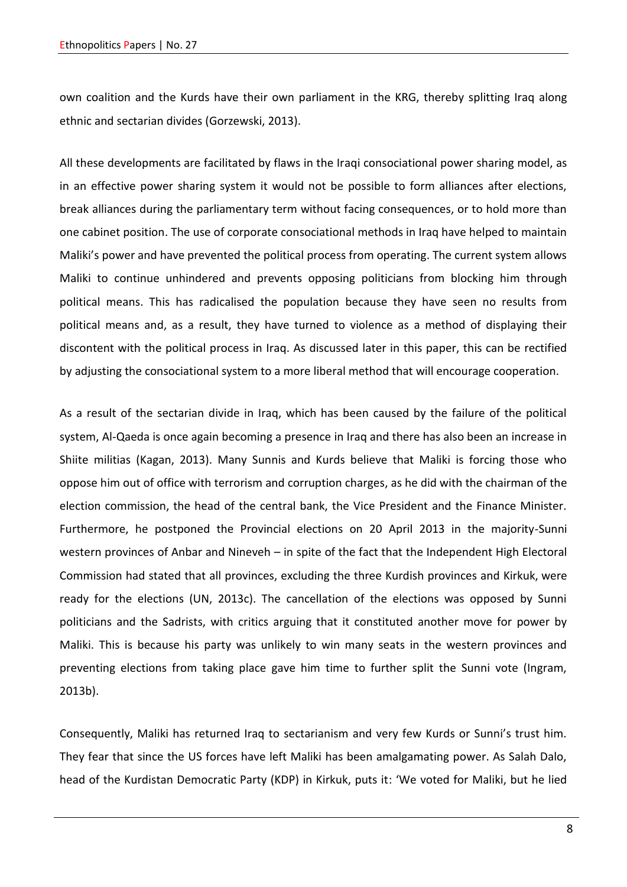own coalition and the Kurds have their own parliament in the KRG, thereby splitting Iraq along ethnic and sectarian divides (Gorzewski, 2013).

All these developments are facilitated by flaws in the Iraqi consociational power sharing model, as in an effective power sharing system it would not be possible to form alliances after elections, break alliances during the parliamentary term without facing consequences, or to hold more than one cabinet position. The use of corporate consociational methods in Iraq have helped to maintain Maliki's power and have prevented the political process from operating. The current system allows Maliki to continue unhindered and prevents opposing politicians from blocking him through political means. This has radicalised the population because they have seen no results from political means and, as a result, they have turned to violence as a method of displaying their discontent with the political process in Iraq. As discussed later in this paper, this can be rectified by adjusting the consociational system to a more liberal method that will encourage cooperation.

As a result of the sectarian divide in Iraq, which has been caused by the failure of the political system, Al-Qaeda is once again becoming a presence in Iraq and there has also been an increase in Shiite militias (Kagan, 2013). Many Sunnis and Kurds believe that Maliki is forcing those who oppose him out of office with terrorism and corruption charges, as he did with the chairman of the election commission, the head of the central bank, the Vice President and the Finance Minister. Furthermore, he postponed the Provincial elections on 20 April 2013 in the majority-Sunni western provinces of Anbar and Nineveh – in spite of the fact that the Independent High Electoral Commission had stated that all provinces, excluding the three Kurdish provinces and Kirkuk, were ready for the elections (UN, 2013c). The cancellation of the elections was opposed by Sunni politicians and the Sadrists, with critics arguing that it constituted another move for power by Maliki. This is because his party was unlikely to win many seats in the western provinces and preventing elections from taking place gave him time to further split the Sunni vote (Ingram, 2013b).

Consequently, Maliki has returned Iraq to sectarianism and very few Kurds or Sunni's trust him. They fear that since the US forces have left Maliki has been amalgamating power. As Salah Dalo, head of the Kurdistan Democratic Party (KDP) in Kirkuk, puts it: 'We voted for Maliki, but he lied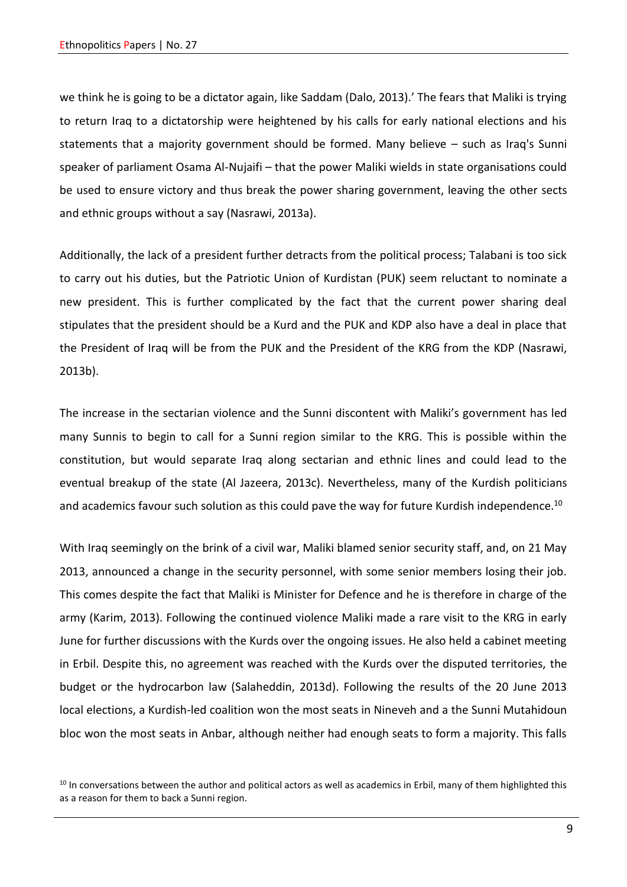we think he is going to be a dictator again, like Saddam (Dalo, 2013).' The fears that Maliki is trying to return Iraq to a dictatorship were heightened by his calls for early national elections and his statements that a majority government should be formed. Many believe – such as Iraq's Sunni speaker of parliament Osama Al-Nujaifi – that the power Maliki wields in state organisations could be used to ensure victory and thus break the power sharing government, leaving the other sects and ethnic groups without a say (Nasrawi, 2013a).

Additionally, the lack of a president further detracts from the political process; Talabani is too sick to carry out his duties, but the Patriotic Union of Kurdistan (PUK) seem reluctant to nominate a new president. This is further complicated by the fact that the current power sharing deal stipulates that the president should be a Kurd and the PUK and KDP also have a deal in place that the President of Iraq will be from the PUK and the President of the KRG from the KDP (Nasrawi, 2013b).

The increase in the sectarian violence and the Sunni discontent with Maliki's government has led many Sunnis to begin to call for a Sunni region similar to the KRG. This is possible within the constitution, but would separate Iraq along sectarian and ethnic lines and could lead to the eventual breakup of the state (Al Jazeera, 2013c). Nevertheless, many of the Kurdish politicians and academics favour such solution as this could pave the way for future Kurdish independence.<sup>10</sup>

With Iraq seemingly on the brink of a civil war, Maliki blamed senior security staff, and, on 21 May 2013, announced a change in the security personnel, with some senior members losing their job. This comes despite the fact that Maliki is Minister for Defence and he is therefore in charge of the army (Karim, 2013). Following the continued violence Maliki made a rare visit to the KRG in early June for further discussions with the Kurds over the ongoing issues. He also held a cabinet meeting in Erbil. Despite this, no agreement was reached with the Kurds over the disputed territories, the budget or the hydrocarbon law (Salaheddin, 2013d). Following the results of the 20 June 2013 local elections, a Kurdish-led coalition won the most seats in Nineveh and a the Sunni Mutahidoun bloc won the most seats in Anbar, although neither had enough seats to form a majority. This falls

 $10$  In conversations between the author and political actors as well as academics in Erbil, many of them highlighted this as a reason for them to back a Sunni region.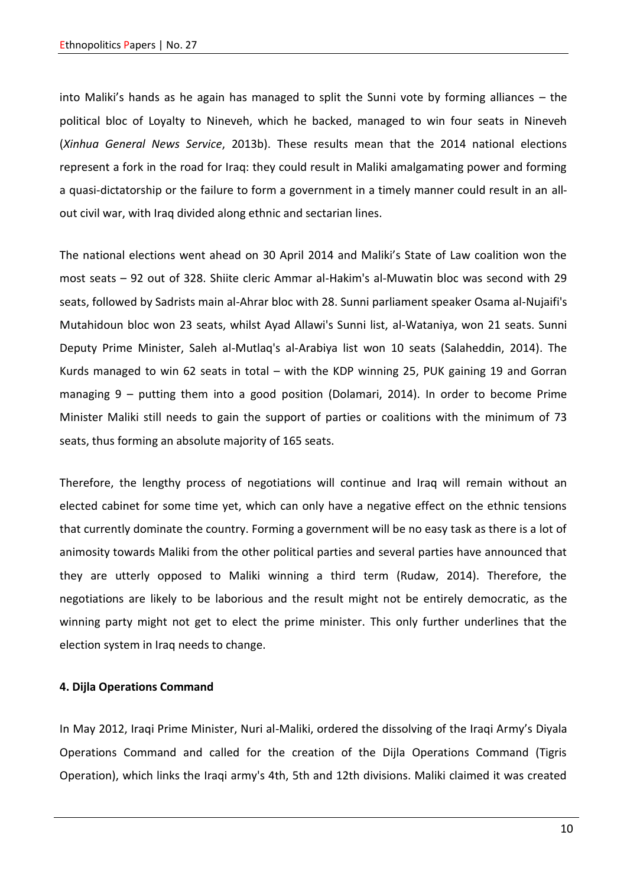into Maliki's hands as he again has managed to split the Sunni vote by forming alliances – the political bloc of Loyalty to Nineveh, which he backed, managed to win four seats in Nineveh (*Xinhua General News Service*, 2013b). These results mean that the 2014 national elections represent a fork in the road for Iraq: they could result in Maliki amalgamating power and forming a quasi-dictatorship or the failure to form a government in a timely manner could result in an allout civil war, with Iraq divided along ethnic and sectarian lines.

The national elections went ahead on 30 April 2014 and Maliki's State of Law coalition won the most seats – 92 out of 328. Shiite cleric Ammar al-Hakim's al-Muwatin bloc was second with 29 seats, followed by Sadrists main al-Ahrar bloc with 28. Sunni parliament speaker Osama al-Nujaifi's Mutahidoun bloc won 23 seats, whilst Ayad Allawi's Sunni list, al-Wataniya, won 21 seats. Sunni Deputy Prime Minister, Saleh al-Mutlaq's al-Arabiya list won 10 seats (Salaheddin, 2014). The Kurds managed to win 62 seats in total – with the KDP winning 25, PUK gaining 19 and Gorran managing 9 – putting them into a good position (Dolamari, 2014). In order to become Prime Minister Maliki still needs to gain the support of parties or coalitions with the minimum of 73 seats, thus forming an absolute majority of 165 seats.

Therefore, the lengthy process of negotiations will continue and Iraq will remain without an elected cabinet for some time yet, which can only have a negative effect on the ethnic tensions that currently dominate the country. Forming a government will be no easy task as there is a lot of animosity towards Maliki from the other political parties and several parties have announced that they are utterly opposed to Maliki winning a third term (Rudaw, 2014). Therefore, the negotiations are likely to be laborious and the result might not be entirely democratic, as the winning party might not get to elect the prime minister. This only further underlines that the election system in Iraq needs to change.

#### **4. Dijla Operations Command**

In May 2012, Iraqi Prime Minister, Nuri al-Maliki, ordered the dissolving of the Iraqi Army's Diyala Operations Command and called for the creation of the Dijla Operations Command (Tigris Operation), which links the Iraqi army's 4th, 5th and 12th divisions. Maliki claimed it was created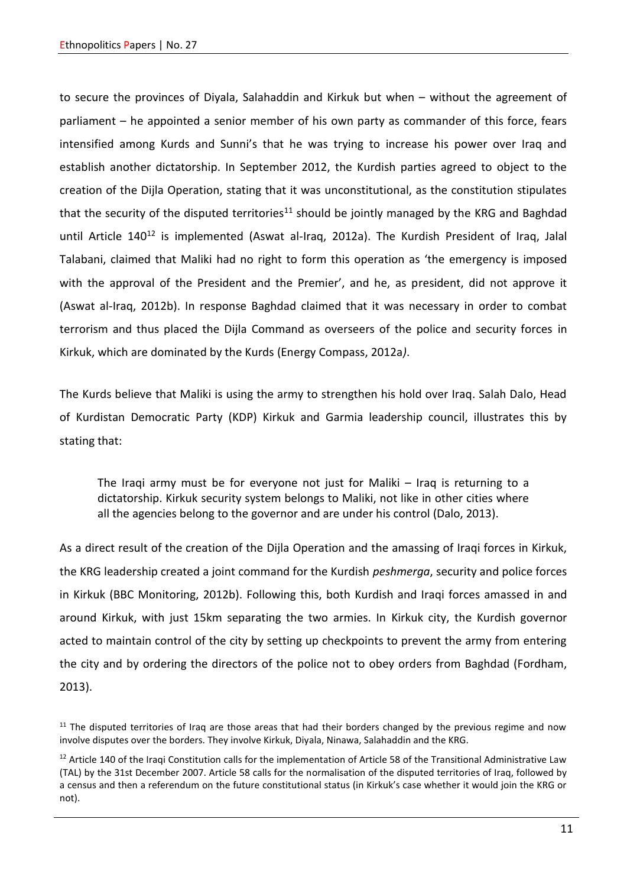to secure the provinces of Diyala, Salahaddin and Kirkuk but when – without the agreement of parliament – he appointed a senior member of his own party as commander of this force, fears intensified among Kurds and Sunni's that he was trying to increase his power over Iraq and establish another dictatorship. In September 2012, the Kurdish parties agreed to object to the creation of the Dijla Operation, stating that it was unconstitutional, as the constitution stipulates that the security of the disputed territories<sup>11</sup> should be jointly managed by the KRG and Baghdad until Article  $140^{12}$  is implemented (Aswat al-Iraq, 2012a). The Kurdish President of Iraq, Jalal Talabani, claimed that Maliki had no right to form this operation as 'the emergency is imposed with the approval of the President and the Premier', and he, as president, did not approve it (Aswat al-Iraq, 2012b). In response Baghdad claimed that it was necessary in order to combat terrorism and thus placed the Dijla Command as overseers of the police and security forces in Kirkuk, which are dominated by the Kurds (Energy Compass, 2012a*)*.

The Kurds believe that Maliki is using the army to strengthen his hold over Iraq. Salah Dalo, Head of Kurdistan Democratic Party (KDP) Kirkuk and Garmia leadership council, illustrates this by stating that:

The Iraqi army must be for everyone not just for Maliki – Iraq is returning to a dictatorship. Kirkuk security system belongs to Maliki, not like in other cities where all the agencies belong to the governor and are under his control (Dalo, 2013).

As a direct result of the creation of the Dijla Operation and the amassing of Iraqi forces in Kirkuk, the KRG leadership created a joint command for the Kurdish *peshmerga*, security and police forces in Kirkuk (BBC Monitoring, 2012b). Following this, both Kurdish and Iraqi forces amassed in and around Kirkuk, with just 15km separating the two armies. In Kirkuk city, the Kurdish governor acted to maintain control of the city by setting up checkpoints to prevent the army from entering the city and by ordering the directors of the police not to obey orders from Baghdad (Fordham, 2013).

 $11$  The disputed territories of Iraq are those areas that had their borders changed by the previous regime and now involve disputes over the borders. They involve Kirkuk, Diyala, Ninawa, Salahaddin and the KRG.

 $12$  Article 140 of the Iraqi Constitution calls for the implementation of Article 58 of the Transitional Administrative Law (TAL) by the 31st December 2007. Article 58 calls for the normalisation of the disputed territories of Iraq, followed by a census and then a referendum on the future constitutional status (in Kirkuk's case whether it would join the KRG or not).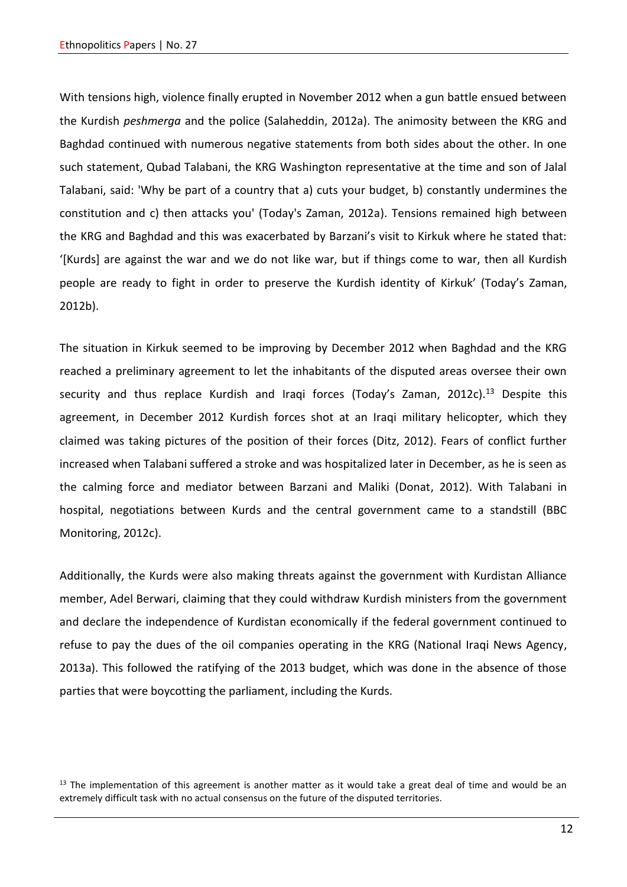With tensions high, violence finally erupted in November 2012 when a gun battle ensued between the Kurdish *peshmerga* and the police (Salaheddin, 2012a). The animosity between the KRG and Baghdad continued with numerous negative statements from both sides about the other. In one such statement, Qubad Talabani, the KRG Washington representative at the time and son of Jalal Talabani, said: 'Why be part of a country that a) cuts your budget, b) constantly undermines the constitution and c) then attacks you' (Today's Zaman, 2012a). Tensions remained high between the KRG and Baghdad and this was exacerbated by Barzani's visit to Kirkuk where he stated that: '[Kurds] are against the war and we do not like war, but if things come to war, then all Kurdish people are ready to fight in order to preserve the Kurdish identity of Kirkuk' (Today's Zaman, 2012b).

The situation in Kirkuk seemed to be improving by December 2012 when Baghdad and the KRG reached a preliminary agreement to let the inhabitants of the disputed areas oversee their own security and thus replace Kurdish and Iraqi forces (Today's Zaman, 2012c).<sup>13</sup> Despite this agreement, in December 2012 Kurdish forces shot at an Iraqi military helicopter, which they claimed was taking pictures of the position of their forces (Ditz, 2012). Fears of conflict further increased when Talabani suffered a stroke and was hospitalized later in December, as he is seen as the calming force and mediator between Barzani and Maliki (Donat, 2012). With Talabani in hospital, negotiations between Kurds and the central government came to a standstill (BBC Monitoring, 2012c).

Additionally, the Kurds were also making threats against the government with Kurdistan Alliance member, Adel Berwari, claiming that they could withdraw Kurdish ministers from the government and declare the independence of Kurdistan economically if the federal government continued to refuse to pay the dues of the oil companies operating in the KRG (National Iraqi News Agency, 2013a). This followed the ratifying of the 2013 budget, which was done in the absence of those parties that were boycotting the parliament, including the Kurds.

 $<sup>13</sup>$  The implementation of this agreement is another matter as it would take a great deal of time and would be an</sup> extremely difficult task with no actual consensus on the future of the disputed territories.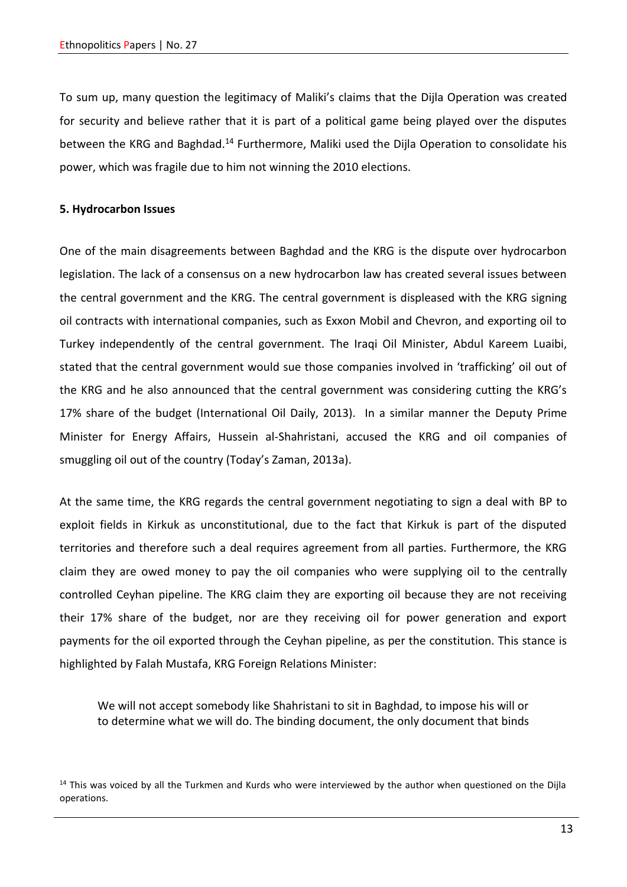To sum up, many question the legitimacy of Maliki's claims that the Dijla Operation was created for security and believe rather that it is part of a political game being played over the disputes between the KRG and Baghdad.<sup>14</sup> Furthermore, Maliki used the Dijla Operation to consolidate his power, which was fragile due to him not winning the 2010 elections.

#### **5. Hydrocarbon Issues**

One of the main disagreements between Baghdad and the KRG is the dispute over hydrocarbon legislation. The lack of a consensus on a new hydrocarbon law has created several issues between the central government and the KRG. The central government is displeased with the KRG signing oil contracts with international companies, such as Exxon Mobil and Chevron, and exporting oil to Turkey independently of the central government. The Iraqi Oil Minister, Abdul Kareem Luaibi, stated that the central government would sue those companies involved in 'trafficking' oil out of the KRG and he also announced that the central government was considering cutting the KRG's 17% share of the budget (International Oil Daily, 2013). In a similar manner the Deputy Prime Minister for Energy Affairs, Hussein al-Shahristani, accused the KRG and oil companies of smuggling oil out of the country (Today's Zaman, 2013a).

At the same time, the KRG regards the central government negotiating to sign a deal with BP to exploit fields in Kirkuk as unconstitutional, due to the fact that Kirkuk is part of the disputed territories and therefore such a deal requires agreement from all parties. Furthermore, the KRG claim they are owed money to pay the oil companies who were supplying oil to the centrally controlled Ceyhan pipeline. The KRG claim they are exporting oil because they are not receiving their 17% share of the budget, nor are they receiving oil for power generation and export payments for the oil exported through the Ceyhan pipeline, as per the constitution. This stance is highlighted by Falah Mustafa, KRG Foreign Relations Minister:

We will not accept somebody like Shahristani to sit in Baghdad, to impose his will or to determine what we will do. The binding document, the only document that binds

 $14$  This was voiced by all the Turkmen and Kurds who were interviewed by the author when questioned on the Dijla operations.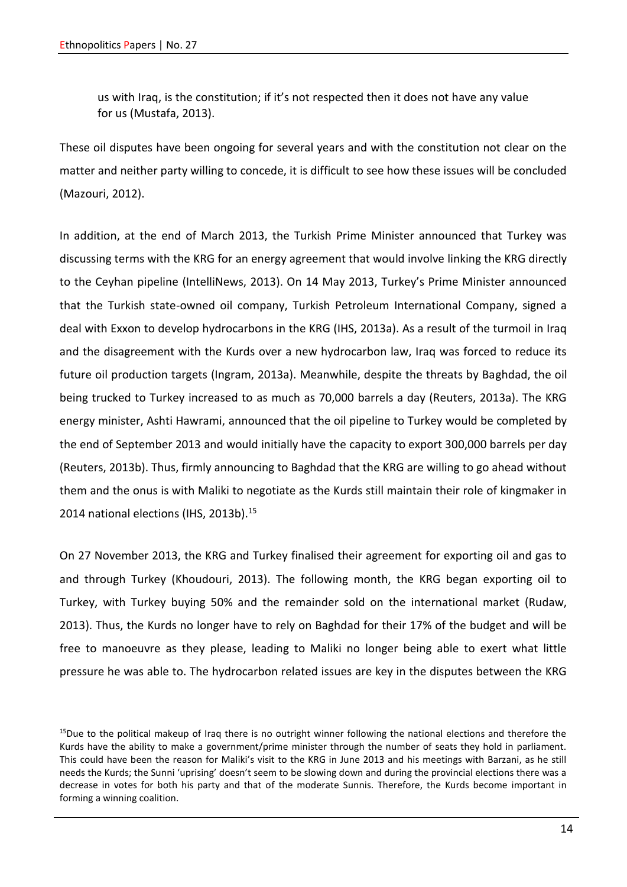us with Iraq, is the constitution; if it's not respected then it does not have any value for us (Mustafa, 2013).

These oil disputes have been ongoing for several years and with the constitution not clear on the matter and neither party willing to concede, it is difficult to see how these issues will be concluded (Mazouri, 2012).

In addition, at the end of March 2013, the Turkish Prime Minister announced that Turkey was discussing terms with the KRG for an energy agreement that would involve linking the KRG directly to the Ceyhan pipeline (IntelliNews, 2013). On 14 May 2013, Turkey's Prime Minister announced that the Turkish state-owned oil company, Turkish Petroleum International Company, signed a deal with Exxon to develop hydrocarbons in the KRG (IHS, 2013a). As a result of the turmoil in Iraq and the disagreement with the Kurds over a new hydrocarbon law, Iraq was forced to reduce its future oil production targets (Ingram, 2013a). Meanwhile, despite the threats by Baghdad, the oil being trucked to Turkey increased to as much as 70,000 barrels a day (Reuters, 2013a). The KRG energy minister, Ashti Hawrami, announced that the oil pipeline to Turkey would be completed by the end of September 2013 and would initially have the capacity to export 300,000 barrels per day (Reuters, 2013b). Thus, firmly announcing to Baghdad that the KRG are willing to go ahead without them and the onus is with Maliki to negotiate as the Kurds still maintain their role of kingmaker in 2014 national elections (IHS, 2013b).<sup>15</sup>

On 27 November 2013, the KRG and Turkey finalised their agreement for exporting oil and gas to and through Turkey (Khoudouri, 2013). The following month, the KRG began exporting oil to Turkey, with Turkey buying 50% and the remainder sold on the international market (Rudaw, 2013). Thus, the Kurds no longer have to rely on Baghdad for their 17% of the budget and will be free to manoeuvre as they please, leading to Maliki no longer being able to exert what little pressure he was able to. The hydrocarbon related issues are key in the disputes between the KRG

 $15$ Due to the political makeup of Iraq there is no outright winner following the national elections and therefore the Kurds have the ability to make a government/prime minister through the number of seats they hold in parliament. This could have been the reason for Maliki's visit to the KRG in June 2013 and his meetings with Barzani, as he still needs the Kurds; the Sunni 'uprising' doesn't seem to be slowing down and during the provincial elections there was a decrease in votes for both his party and that of the moderate Sunnis. Therefore, the Kurds become important in forming a winning coalition.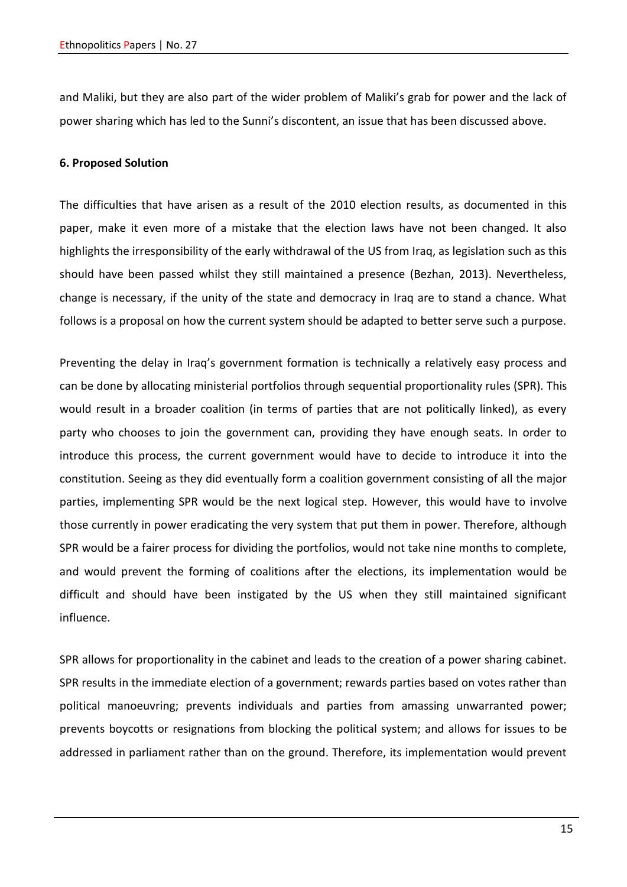and Maliki, but they are also part of the wider problem of Maliki's grab for power and the lack of power sharing which has led to the Sunni's discontent, an issue that has been discussed above.

#### **6. Proposed Solution**

The difficulties that have arisen as a result of the 2010 election results, as documented in this paper, make it even more of a mistake that the election laws have not been changed. It also highlights the irresponsibility of the early withdrawal of the US from Iraq, as legislation such as this should have been passed whilst they still maintained a presence (Bezhan, 2013). Nevertheless, change is necessary, if the unity of the state and democracy in Iraq are to stand a chance. What follows is a proposal on how the current system should be adapted to better serve such a purpose.

Preventing the delay in Iraq's government formation is technically a relatively easy process and can be done by allocating ministerial portfolios through sequential proportionality rules (SPR). This would result in a broader coalition (in terms of parties that are not politically linked), as every party who chooses to join the government can, providing they have enough seats. In order to introduce this process, the current government would have to decide to introduce it into the constitution. Seeing as they did eventually form a coalition government consisting of all the major parties, implementing SPR would be the next logical step. However, this would have to involve those currently in power eradicating the very system that put them in power. Therefore, although SPR would be a fairer process for dividing the portfolios, would not take nine months to complete, and would prevent the forming of coalitions after the elections, its implementation would be difficult and should have been instigated by the US when they still maintained significant influence.

SPR allows for proportionality in the cabinet and leads to the creation of a power sharing cabinet. SPR results in the immediate election of a government; rewards parties based on votes rather than political manoeuvring; prevents individuals and parties from amassing unwarranted power; prevents boycotts or resignations from blocking the political system; and allows for issues to be addressed in parliament rather than on the ground. Therefore, its implementation would prevent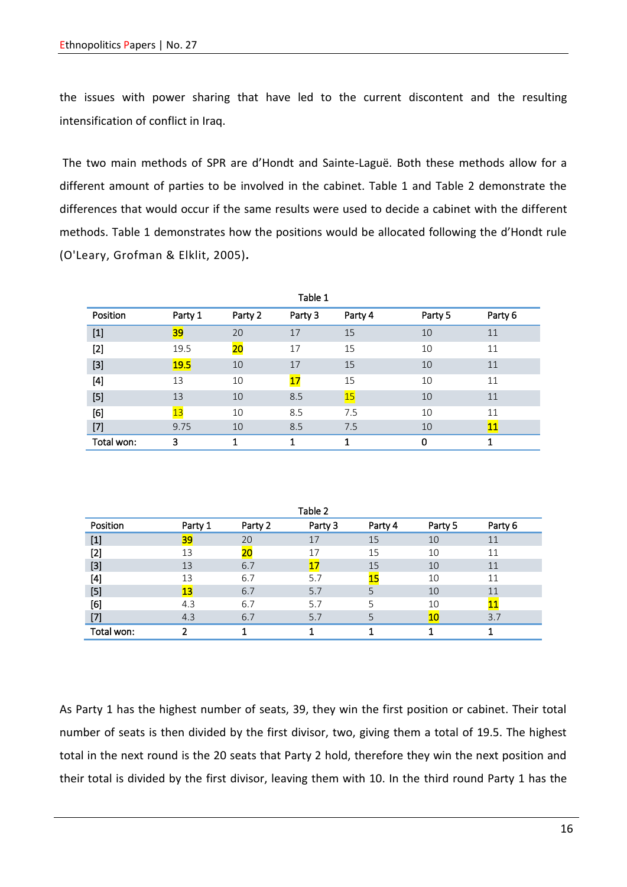the issues with power sharing that have led to the current discontent and the resulting intensification of conflict in Iraq.

The two main methods of SPR are d'Hondt and Sainte-Laguë. Both these methods allow for a different amount of parties to be involved in the cabinet. Table 1 and Table 2 demonstrate the differences that would occur if the same results were used to decide a cabinet with the different methods. Table 1 demonstrates how the positions would be allocated following the d'Hondt rule (O'Leary, Grofman & Elklit, 2005)*.*

| Table 1    |         |         |         |         |         |           |  |  |
|------------|---------|---------|---------|---------|---------|-----------|--|--|
| Position   | Party 1 | Party 2 | Party 3 | Party 4 | Party 5 | Party 6   |  |  |
| $[1]$      | 39      | 20      | 17      | 15      | 10      | 11        |  |  |
| $[2]$      | 19.5    | 20      | 17      | 15      | 10      | 11        |  |  |
| $[3]$      | 19.5    | 10      | 17      | 15      | 10      | 11        |  |  |
| [4]        | 13      | 10      | 17      | 15      | 10      | 11        |  |  |
| $[5]$      | 13      | 10      | 8.5     | 15      | 10      | 11        |  |  |
| [6]        | 13      | 10      | 8.5     | 7.5     | 10      | 11        |  |  |
| $[7]$      | 9.75    | 10      | 8.5     | 7.5     | 10      | <b>11</b> |  |  |
| Total won: | 3       |         |         |         | 0       |           |  |  |

| Table 2    |         |         |         |         |         |         |  |  |
|------------|---------|---------|---------|---------|---------|---------|--|--|
| Position   | Party 1 | Party 2 | Party 3 | Party 4 | Party 5 | Party 6 |  |  |
| $[1]$      | 39      | 20      | 17      | 15      | 10      | 11      |  |  |
| [2]        | 13      | 20      | 17      | 15      | 10      | 11      |  |  |
| $[3]$      | 13      | 6.7     |         | 15      | 10      | 11      |  |  |
| [4]        | 13      | 6.7     | 5.7     | 15      | 10      | 11      |  |  |
| $[5]$      | 13      | 6.7     | 5.7     |         | 10      | 11      |  |  |
| [6]        | 4.3     | 6.7     | 5.7     | 5       | 10      | 11      |  |  |
| [7]        | 4.3     | 6.7     | 5.7     |         | 10      | 3.7     |  |  |
| Total won: |         |         |         |         |         |         |  |  |

As Party 1 has the highest number of seats, 39, they win the first position or cabinet. Their total number of seats is then divided by the first divisor, two, giving them a total of 19.5. The highest total in the next round is the 20 seats that Party 2 hold, therefore they win the next position and their total is divided by the first divisor, leaving them with 10. In the third round Party 1 has the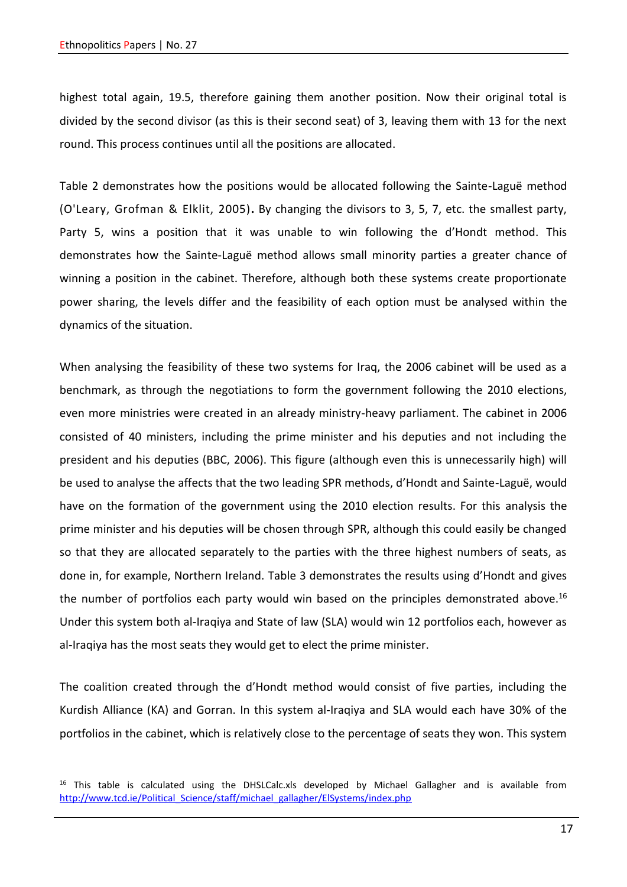highest total again, 19.5, therefore gaining them another position. Now their original total is divided by the second divisor (as this is their second seat) of 3, leaving them with 13 for the next round. This process continues until all the positions are allocated.

Table 2 demonstrates how the positions would be allocated following the Sainte-Laguë method (O'Leary, Grofman & Elklit, 2005)**.** By changing the divisors to 3, 5, 7, etc. the smallest party, Party 5, wins a position that it was unable to win following the d'Hondt method. This demonstrates how the Sainte-Laguë method allows small minority parties a greater chance of winning a position in the cabinet. Therefore, although both these systems create proportionate power sharing, the levels differ and the feasibility of each option must be analysed within the dynamics of the situation.

When analysing the feasibility of these two systems for Iraq, the 2006 cabinet will be used as a benchmark, as through the negotiations to form the government following the 2010 elections, even more ministries were created in an already ministry-heavy parliament. The cabinet in 2006 consisted of 40 ministers, including the prime minister and his deputies and not including the president and his deputies (BBC, 2006). This figure (although even this is unnecessarily high) will be used to analyse the affects that the two leading SPR methods, d'Hondt and Sainte-Laguë, would have on the formation of the government using the 2010 election results. For this analysis the prime minister and his deputies will be chosen through SPR, although this could easily be changed so that they are allocated separately to the parties with the three highest numbers of seats, as done in, for example, Northern Ireland. Table 3 demonstrates the results using d'Hondt and gives the number of portfolios each party would win based on the principles demonstrated above.<sup>16</sup> Under this system both al-Iraqiya and State of law (SLA) would win 12 portfolios each, however as al-Iraqiya has the most seats they would get to elect the prime minister.

The coalition created through the d'Hondt method would consist of five parties, including the Kurdish Alliance (KA) and Gorran. In this system al-Iraqiya and SLA would each have 30% of the portfolios in the cabinet, which is relatively close to the percentage of seats they won. This system

<sup>&</sup>lt;sup>16</sup> This table is calculated using the DHSLCalc.xls developed by Michael Gallagher and is available from [http://www.tcd.ie/Political\\_Science/staff/michael\\_gallagher/ElSystems/index.php](http://www.tcd.ie/Political_Science/staff/michael_gallagher/ElSystems/index.php)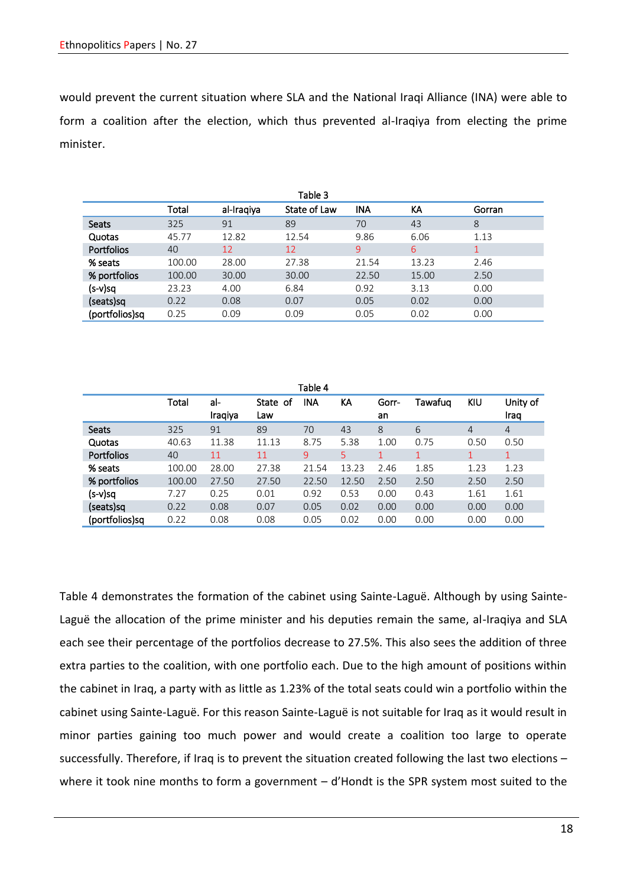would prevent the current situation where SLA and the National Iraqi Alliance (INA) were able to form a coalition after the election, which thus prevented al-Iraqiya from electing the prime minister.

| Table 3           |        |            |              |            |       |        |  |  |
|-------------------|--------|------------|--------------|------------|-------|--------|--|--|
|                   | Total  | al-Iraqiya | State of Law | <b>INA</b> | KA    | Gorran |  |  |
| <b>Seats</b>      | 325    | 91         | 89           | 70         | 43    | 8      |  |  |
| Quotas            | 45.77  | 12.82      | 12.54        | 9.86       | 6.06  | 1.13   |  |  |
| <b>Portfolios</b> | 40     | 12         | 12           | 9          | 6     |        |  |  |
| % seats           | 100.00 | 28.00      | 27.38        | 21.54      | 13.23 | 2.46   |  |  |
| % portfolios      | 100.00 | 30.00      | 30.00        | 22.50      | 15.00 | 2.50   |  |  |
| (s-v)sq           | 23.23  | 4.00       | 6.84         | 0.92       | 3.13  | 0.00   |  |  |
| (seats)sq         | 0.22   | 0.08       | 0.07         | 0.05       | 0.02  | 0.00   |  |  |
| (portfolios)sq    | 0.25   | 0.09       | 0.09         | 0.05       | 0.02  | 0.00   |  |  |

| Table 4           |        |                |                 |            |       |             |         |                |                  |
|-------------------|--------|----------------|-----------------|------------|-------|-------------|---------|----------------|------------------|
|                   | Total  | al-<br>Iraqiya | State of<br>Law | <b>INA</b> | КA    | Gorr-<br>an | Tawafuq | KIU            | Unity of<br>Iraq |
| <b>Seats</b>      | 325    | 91             | 89              | 70         | 43    | 8           | 6       | $\overline{4}$ | $\overline{4}$   |
| Quotas            | 40.63  | 11.38          | 11.13           | 8.75       | 5.38  | 1.00        | 0.75    | 0.50           | 0.50             |
| <b>Portfolios</b> | 40     | 11             | 11              | 9          | 5     |             |         |                |                  |
| % seats           | 100.00 | 28.00          | 27.38           | 21.54      | 13.23 | 2.46        | 1.85    | 1.23           | 1.23             |
| % portfolios      | 100.00 | 27.50          | 27.50           | 22.50      | 12.50 | 2.50        | 2.50    | 2.50           | 2.50             |
| (s-v)sq           | 7.27   | 0.25           | 0.01            | 0.92       | 0.53  | 0.00        | 0.43    | 1.61           | 1.61             |
| (seats)sq         | 0.22   | 0.08           | 0.07            | 0.05       | 0.02  | 0.00        | 0.00    | 0.00           | 0.00             |
| (portfolios)sq    | 0.22   | 0.08           | 0.08            | 0.05       | 0.02  | 0.00        | 0.00    | 0.00           | 0.00             |

Table 4 demonstrates the formation of the cabinet using Sainte-Laguë. Although by using Sainte-Laguë the allocation of the prime minister and his deputies remain the same, al-Iraqiya and SLA each see their percentage of the portfolios decrease to 27.5%. This also sees the addition of three extra parties to the coalition, with one portfolio each. Due to the high amount of positions within the cabinet in Iraq, a party with as little as 1.23% of the total seats could win a portfolio within the cabinet using Sainte-Laguë. For this reason Sainte-Laguë is not suitable for Iraq as it would result in minor parties gaining too much power and would create a coalition too large to operate successfully. Therefore, if Iraq is to prevent the situation created following the last two elections – where it took nine months to form a government – d'Hondt is the SPR system most suited to the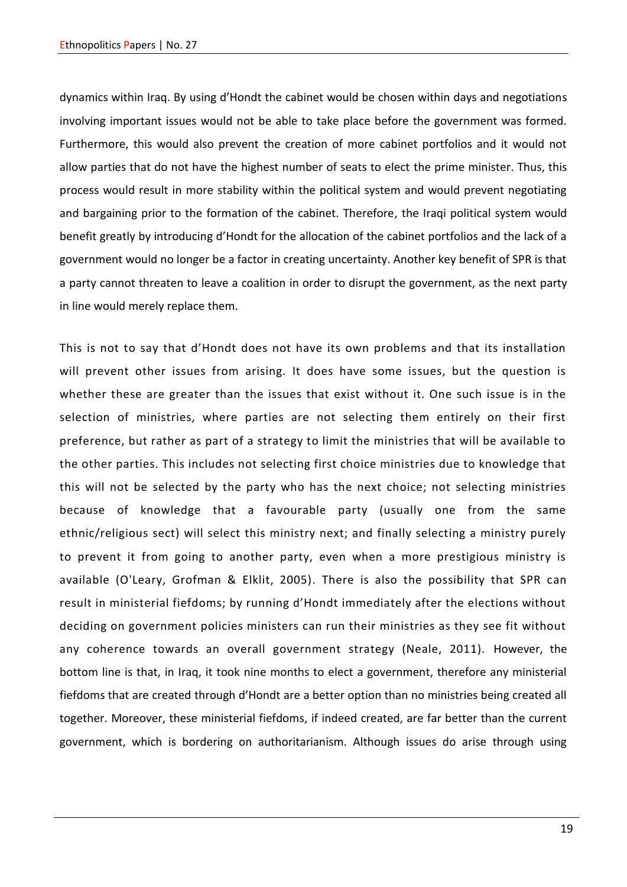dynamics within Iraq. By using d'Hondt the cabinet would be chosen within days and negotiations involving important issues would not be able to take place before the government was formed. Furthermore, this would also prevent the creation of more cabinet portfolios and it would not allow parties that do not have the highest number of seats to elect the prime minister. Thus, this process would result in more stability within the political system and would prevent negotiating and bargaining prior to the formation of the cabinet. Therefore, the Iraqi political system would benefit greatly by introducing d'Hondt for the allocation of the cabinet portfolios and the lack of a government would no longer be a factor in creating uncertainty. Another key benefit of SPR is that a party cannot threaten to leave a coalition in order to disrupt the government, as the next party in line would merely replace them.

This is not to say that d'Hondt does not have its own problems and that its installation will prevent other issues from arising. It does have some issues, but the question is whether these are greater than the issues that exist without it. One such issue is in the selection of ministries, where parties are not selecting them entirely on their first preference, but rather as part of a strategy to limit the ministries that will be available to the other parties. This includes not selecting first choice ministries due to knowledge that this will not be selected by the party who has the next choice; not selecting ministries because of knowledge that a favourable party (usually one from the same ethnic/religious sect) will select this ministry next; and finally selecting a ministry purely to prevent it from going to another party, even when a more prestigious ministry is available (O'Leary, Grofman & Elklit, 2005). There is also the possibility that SPR can result in ministerial fiefdoms; by running d'Hondt immediately after the elections without deciding on government policies ministers can run their ministries as they see fit without any coherence towards an overall government strategy (Neale, 2011). However, the bottom line is that, in Iraq, it took nine months to elect a government, therefore any ministerial fiefdoms that are created through d'Hondt are a better option than no ministries being created all together. Moreover, these ministerial fiefdoms, if indeed created, are far better than the current government, which is bordering on authoritarianism. Although issues do arise through using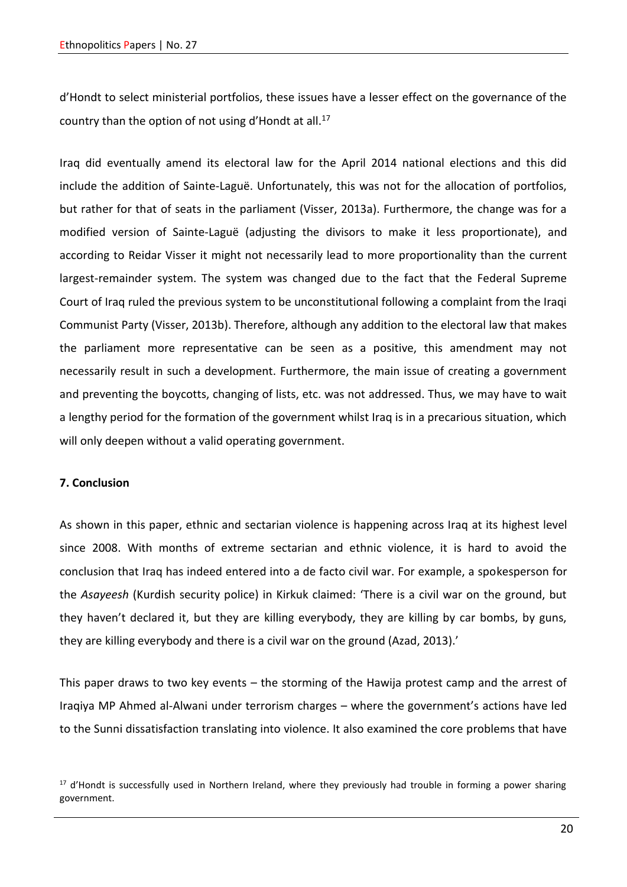d'Hondt to select ministerial portfolios, these issues have a lesser effect on the governance of the country than the option of not using d'Hondt at all.<sup>17</sup>

Iraq did eventually amend its electoral law for the April 2014 national elections and this did include the addition of Sainte-Laguë. Unfortunately, this was not for the allocation of portfolios, but rather for that of seats in the parliament (Visser, 2013a). Furthermore, the change was for a modified version of Sainte-Laguë (adjusting the divisors to make it less proportionate), and according to Reidar Visser it might not necessarily lead to more proportionality than the current largest-remainder system. The system was changed due to the fact that the Federal Supreme Court of Iraq ruled the previous system to be unconstitutional following a complaint from the Iraqi Communist Party (Visser, 2013b). Therefore, although any addition to the electoral law that makes the parliament more representative can be seen as a positive, this amendment may not necessarily result in such a development. Furthermore, the main issue of creating a government and preventing the boycotts, changing of lists, etc. was not addressed. Thus, we may have to wait a lengthy period for the formation of the government whilst Iraq is in a precarious situation, which will only deepen without a valid operating government.

### **7. Conclusion**

As shown in this paper, ethnic and sectarian violence is happening across Iraq at its highest level since 2008. With months of extreme sectarian and ethnic violence, it is hard to avoid the conclusion that Iraq has indeed entered into a de facto civil war. For example, a spokesperson for the *Asayeesh* (Kurdish security police) in Kirkuk claimed: 'There is a civil war on the ground, but they haven't declared it, but they are killing everybody, they are killing by car bombs, by guns, they are killing everybody and there is a civil war on the ground (Azad, 2013).'

This paper draws to two key events – the storming of the Hawija protest camp and the arrest of Iraqiya MP Ahmed al-Alwani under terrorism charges – where the government's actions have led to the Sunni dissatisfaction translating into violence. It also examined the core problems that have

<sup>&</sup>lt;sup>17</sup> d'Hondt is successfully used in Northern Ireland, where they previously had trouble in forming a power sharing government.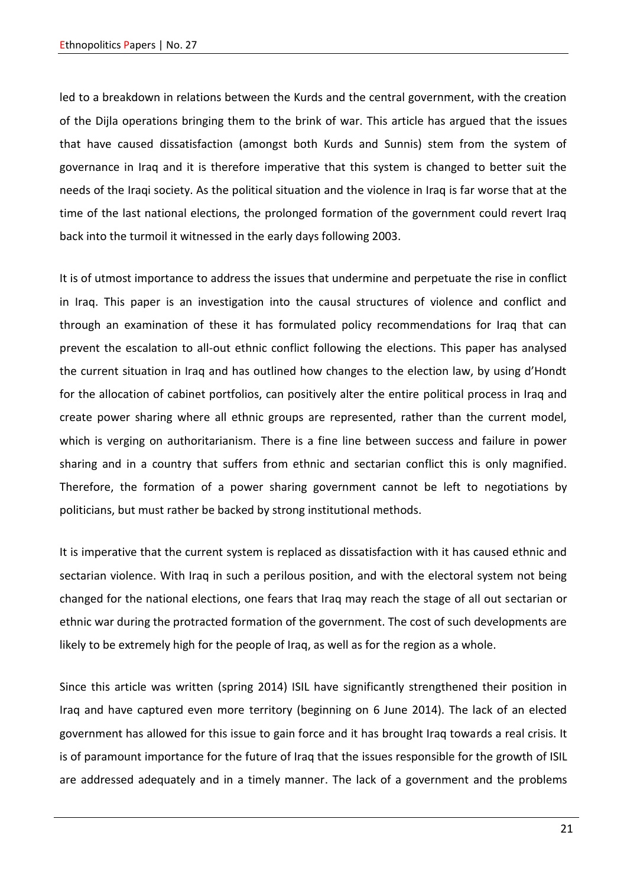led to a breakdown in relations between the Kurds and the central government, with the creation of the Dijla operations bringing them to the brink of war. This article has argued that the issues that have caused dissatisfaction (amongst both Kurds and Sunnis) stem from the system of governance in Iraq and it is therefore imperative that this system is changed to better suit the needs of the Iraqi society. As the political situation and the violence in Iraq is far worse that at the time of the last national elections, the prolonged formation of the government could revert Iraq back into the turmoil it witnessed in the early days following 2003.

It is of utmost importance to address the issues that undermine and perpetuate the rise in conflict in Iraq. This paper is an investigation into the causal structures of violence and conflict and through an examination of these it has formulated policy recommendations for Iraq that can prevent the escalation to all-out ethnic conflict following the elections. This paper has analysed the current situation in Iraq and has outlined how changes to the election law, by using d'Hondt for the allocation of cabinet portfolios, can positively alter the entire political process in Iraq and create power sharing where all ethnic groups are represented, rather than the current model, which is verging on authoritarianism. There is a fine line between success and failure in power sharing and in a country that suffers from ethnic and sectarian conflict this is only magnified. Therefore, the formation of a power sharing government cannot be left to negotiations by politicians, but must rather be backed by strong institutional methods.

It is imperative that the current system is replaced as dissatisfaction with it has caused ethnic and sectarian violence. With Iraq in such a perilous position, and with the electoral system not being changed for the national elections, one fears that Iraq may reach the stage of all out sectarian or ethnic war during the protracted formation of the government. The cost of such developments are likely to be extremely high for the people of Iraq, as well as for the region as a whole.

Since this article was written (spring 2014) ISIL have significantly strengthened their position in Iraq and have captured even more territory (beginning on 6 June 2014). The lack of an elected government has allowed for this issue to gain force and it has brought Iraq towards a real crisis. It is of paramount importance for the future of Iraq that the issues responsible for the growth of ISIL are addressed adequately and in a timely manner. The lack of a government and the problems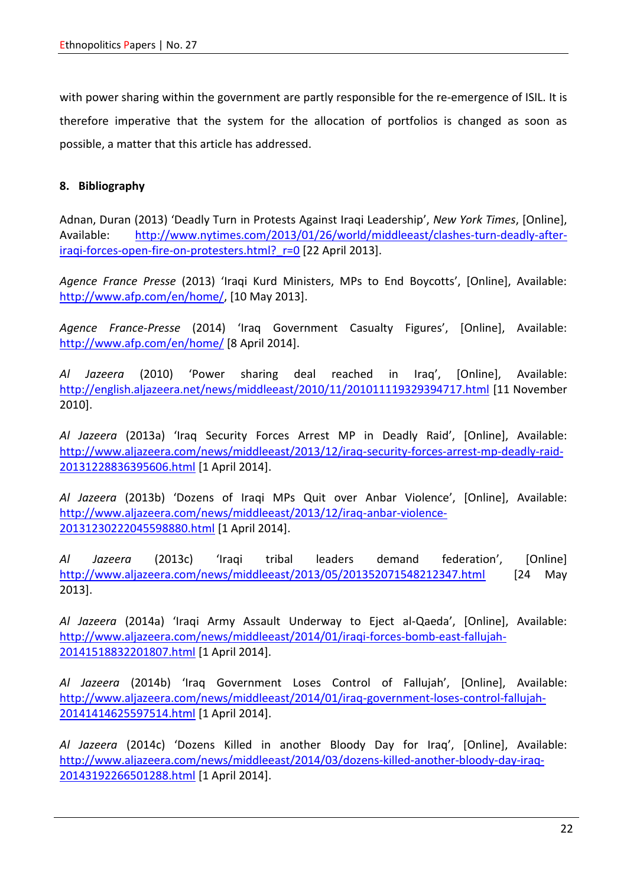with power sharing within the government are partly responsible for the re-emergence of ISIL. It is therefore imperative that the system for the allocation of portfolios is changed as soon as possible, a matter that this article has addressed.

## **8. Bibliography**

Adnan, Duran (2013) 'Deadly Turn in Protests Against Iraqi Leadership', *New York Times*, [Online], Available: [http://www.nytimes.com/2013/01/26/world/middleeast/clashes-turn-deadly-after](http://www.nytimes.com/2013/01/26/world/middleeast/clashes-turn-deadly-after-iraqi-forces-open-fire-on-protesters.html?_r=0)iraqi-forces-open-fire-on-protesters.html? r=0 [22 April 2013].

*Agence France Presse* (2013) 'Iraqi Kurd Ministers, MPs to End Boycotts', [Online], Available: [http://www.afp.com/en/home/,](http://www.afp.com/en/home/) [10 May 2013].

*Agence France-Presse* (2014) 'Iraq Government Casualty Figures', [Online], Available: <http://www.afp.com/en/home/> [8 April 2014].

*Al Jazeera* (2010) 'Power sharing deal reached in Iraq', [Online], Available: <http://english.aljazeera.net/news/middleeast/2010/11/201011119329394717.html> [11 November 2010].

*Al Jazeera* (2013a) 'Iraq Security Forces Arrest MP in Deadly Raid', [Online], Available: [http://www.aljazeera.com/news/middleeast/2013/12/iraq-security-forces-arrest-mp-deadly-raid-](http://www.aljazeera.com/news/middleeast/2013/12/iraq-security-forces-arrest-mp-deadly-raid-20131228836395606.html)[20131228836395606.html](http://www.aljazeera.com/news/middleeast/2013/12/iraq-security-forces-arrest-mp-deadly-raid-20131228836395606.html) [1 April 2014].

*Al Jazeera* (2013b) 'Dozens of Iraqi MPs Quit over Anbar Violence', [Online], Available: [http://www.aljazeera.com/news/middleeast/2013/12/iraq-anbar-violence-](http://www.aljazeera.com/news/middleeast/2013/12/iraq-anbar-violence-20131230222045598880.html)[20131230222045598880.html](http://www.aljazeera.com/news/middleeast/2013/12/iraq-anbar-violence-20131230222045598880.html) [1 April 2014].

*Al Jazeera* (2013c) 'Iraqi tribal leaders demand federation', [Online] <http://www.aljazeera.com/news/middleeast/2013/05/201352071548212347.html> [24 May 2013].

*Al Jazeera* (2014a) 'Iraqi Army Assault Underway to Eject al-Qaeda', [Online], Available: [http://www.aljazeera.com/news/middleeast/2014/01/iraqi-forces-bomb-east-fallujah-](http://www.aljazeera.com/news/middleeast/2014/01/iraqi-forces-bomb-east-fallujah-20141518832201807.html)[20141518832201807.html](http://www.aljazeera.com/news/middleeast/2014/01/iraqi-forces-bomb-east-fallujah-20141518832201807.html) [1 April 2014].

*Al Jazeera* (2014b) 'Iraq Government Loses Control of Fallujah', [Online], Available: [http://www.aljazeera.com/news/middleeast/2014/01/iraq-government-loses-control-fallujah-](http://www.aljazeera.com/news/middleeast/2014/01/iraq-government-loses-control-fallujah-20141414625597514.html)[20141414625597514.html](http://www.aljazeera.com/news/middleeast/2014/01/iraq-government-loses-control-fallujah-20141414625597514.html) [1 April 2014].

*Al Jazeera* (2014c) 'Dozens Killed in another Bloody Day for Iraq', [Online], Available: [http://www.aljazeera.com/news/middleeast/2014/03/dozens-killed-another-bloody-day-iraq-](http://www.aljazeera.com/news/middleeast/2014/03/dozens-killed-another-bloody-day-iraq-20143192266501288.html)[20143192266501288.html](http://www.aljazeera.com/news/middleeast/2014/03/dozens-killed-another-bloody-day-iraq-20143192266501288.html) [1 April 2014].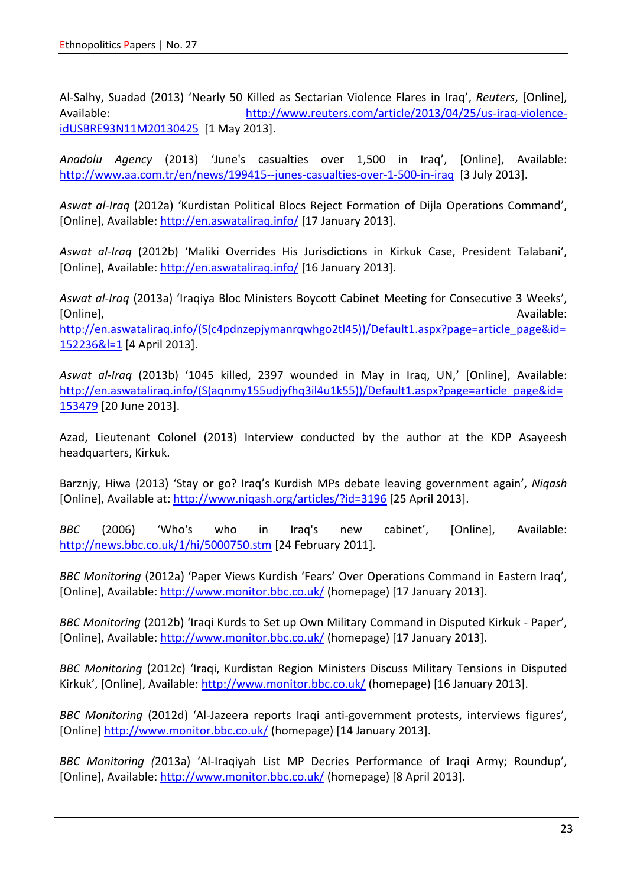Al-Salhy, Suadad (2013) 'Nearly 50 Killed as Sectarian Violence Flares in Iraq', *Reuters*, [Online], Available: [http://www.reuters.com/article/2013/04/25/us-iraq-violence](http://www.reuters.com/article/2013/04/25/us-iraq-violence-idUSBRE93N11M20130425)[idUSBRE93N11M20130425](http://www.reuters.com/article/2013/04/25/us-iraq-violence-idUSBRE93N11M20130425) [1 May 2013].

*Anadolu Agency* (2013) 'June's casualties over 1,500 in Iraq', [Online], Available: <http://www.aa.com.tr/en/news/199415--junes-casualties-over-1-500-in-iraq> [3 July 2013].

*Aswat al-Iraq* (2012a) 'Kurdistan Political Blocs Reject Formation of Dijla Operations Command', [Online], Available: <http://en.aswataliraq.info/> [17 January 2013].

*Aswat al-Iraq* (2012b) 'Maliki Overrides His Jurisdictions in Kirkuk Case, President Talabani', [Online], Available: <http://en.aswataliraq.info/> [16 January 2013].

*Aswat al-Iraq* (2013a) 'Iraqiya Bloc Ministers Boycott Cabinet Meeting for Consecutive 3 Weeks', [Online], the contraction of the contraction of the contraction of the contraction of the contraction of the contraction of the contraction of the contraction of the contraction of the contraction of the contraction of the [http://en.aswataliraq.info/\(S\(c4pdnzepjymanrqwhgo2tl45\)\)/Default1.aspx?page=article\\_page&id=](http://en.aswataliraq.info/(S(c4pdnzepjymanrqwhgo2tl45))/Default1.aspx?page=article_page&id=152236&l=1) [152236&l=1](http://en.aswataliraq.info/(S(c4pdnzepjymanrqwhgo2tl45))/Default1.aspx?page=article_page&id=152236&l=1) [4 April 2013].

*Aswat al-Iraq* (2013b) '1045 killed, 2397 wounded in May in Iraq, UN,' [Online], Available: [http://en.aswataliraq.info/\(S\(aqnmy155udjyfhq3il4u1k55\)\)/Default1.aspx?page=article\\_page&id=](http://en.aswataliraq.info/(S(aqnmy155udjyfhq3il4u1k55))/Default1.aspx?page=article_page&id=153479) [153479](http://en.aswataliraq.info/(S(aqnmy155udjyfhq3il4u1k55))/Default1.aspx?page=article_page&id=153479) [20 June 2013].

Azad, Lieutenant Colonel (2013) Interview conducted by the author at the KDP Asayeesh headquarters, Kirkuk.

Barznjy, Hiwa (2013) 'Stay or go? Iraq's Kurdish MPs debate leaving government again', *Niqash* [Online], Available at: <http://www.niqash.org/articles/?id=3196> [25 April 2013].

*BBC* (2006) 'Who's who in Iraq's new cabinet', [Online], Available: <http://news.bbc.co.uk/1/hi/5000750.stm> [24 February 2011].

*BBC Monitoring* (2012a) 'Paper Views Kurdish 'Fears' Over Operations Command in Eastern Iraq', [Online], Available: <http://www.monitor.bbc.co.uk/> (homepage) [17 January 2013].

*BBC Monitoring* (2012b) 'Iraqi Kurds to Set up Own Military Command in Disputed Kirkuk - Paper', [Online], Available: <http://www.monitor.bbc.co.uk/> (homepage) [17 January 2013].

*BBC Monitoring* (2012c) 'Iraqi, Kurdistan Region Ministers Discuss Military Tensions in Disputed Kirkuk', [Online], Available: <http://www.monitor.bbc.co.uk/> (homepage) [16 January 2013].

*BBC Monitoring* (2012d) 'Al-Jazeera reports Iraqi anti-government protests, interviews figures', [Online] <http://www.monitor.bbc.co.uk/> (homepage) [14 January 2013].

*BBC Monitoring (*2013a) 'Al-Iraqiyah List MP Decries Performance of Iraqi Army; Roundup', [Online], Available: <http://www.monitor.bbc.co.uk/> (homepage) [8 April 2013].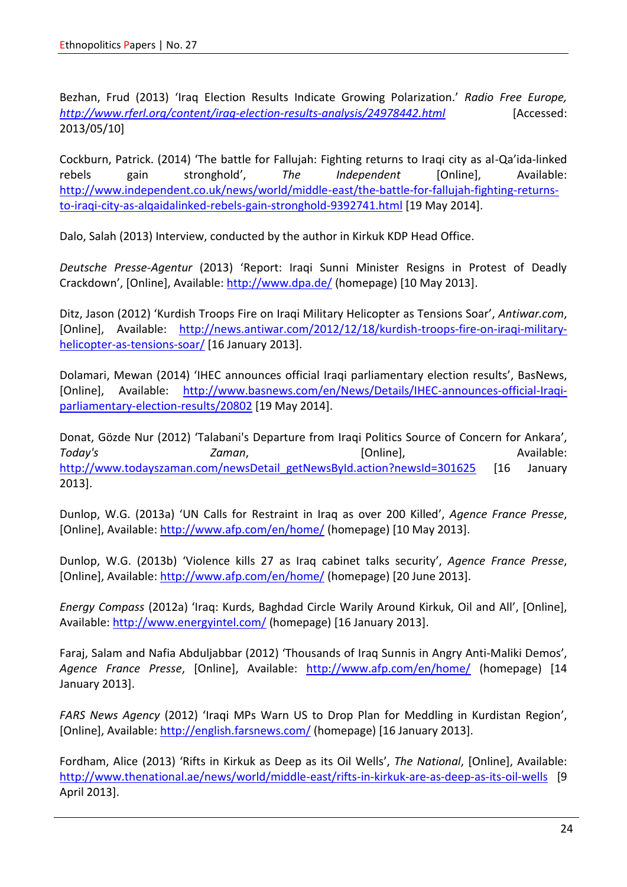Bezhan, Frud (2013) 'Iraq Election Results Indicate Growing Polarization.' *Radio Free Europe, <http://www.rferl.org/content/iraq-election-results-analysis/24978442.html>* [Accessed: 2013/05/10]

Cockburn, Patrick. (2014) 'The battle for Fallujah: Fighting returns to Iraqi city as al-Qa'ida-linked rebels gain stronghold', *The Independent* [Online], Available: [http://www.independent.co.uk/news/world/middle-east/the-battle-for-fallujah-fighting-returns](http://www.independent.co.uk/news/world/middle-east/the-battle-for-fallujah-fighting-returns-to-iraqi-city-as-alqaidalinked-rebels-gain-stronghold-9392741.html)[to-iraqi-city-as-alqaidalinked-rebels-gain-stronghold-9392741.html](http://www.independent.co.uk/news/world/middle-east/the-battle-for-fallujah-fighting-returns-to-iraqi-city-as-alqaidalinked-rebels-gain-stronghold-9392741.html) [19 May 2014].

Dalo, Salah (2013) Interview, conducted by the author in Kirkuk KDP Head Office.

*Deutsche Presse-Agentur* (2013) 'Report: Iraqi Sunni Minister Resigns in Protest of Deadly Crackdown', [Online], Available: <http://www.dpa.de/> (homepage) [10 May 2013].

Ditz, Jason (2012) 'Kurdish Troops Fire on Iraqi Military Helicopter as Tensions Soar', *Antiwar.com*, [Online], Available: [http://news.antiwar.com/2012/12/18/kurdish-troops-fire-on-iraqi-military](http://news.antiwar.com/2012/12/18/kurdish-troops-fire-on-iraqi-military-helicopter-as-tensions-soar/)[helicopter-as-tensions-soar/](http://news.antiwar.com/2012/12/18/kurdish-troops-fire-on-iraqi-military-helicopter-as-tensions-soar/) [16 January 2013].

Dolamari, Mewan (2014) 'IHEC announces official Iraqi parliamentary election results', BasNews, [Online], Available: [http://www.basnews.com/en/News/Details/IHEC-announces-official-Iraqi](http://www.basnews.com/en/News/Details/IHEC-announces-official-Iraqi-parliamentary-election-results/20802)[parliamentary-election-results/20802](http://www.basnews.com/en/News/Details/IHEC-announces-official-Iraqi-parliamentary-election-results/20802) [19 May 2014].

Donat, Gözde Nur (2012) 'Talabani's Departure from Iraqi Politics Source of Concern for Ankara', Today's **Example 2** Zaman, **Containers** [Online], Today's Available: [http://www.todayszaman.com/newsDetail\\_getNewsById.action?newsId=301625](http://www.todayszaman.com/newsDetail_getNewsById.action?newsId=301625) [16 January 2013].

Dunlop, W.G. (2013a) 'UN Calls for Restraint in Iraq as over 200 Killed', *Agence France Presse*, [Online], Available: <http://www.afp.com/en/home/> (homepage) [10 May 2013].

Dunlop, W.G. (2013b) 'Violence kills 27 as Iraq cabinet talks security', *Agence France Presse*, [Online], Available: <http://www.afp.com/en/home/> (homepage) [20 June 2013].

*Energy Compass* (2012a) 'Iraq: Kurds, Baghdad Circle Warily Around Kirkuk, Oil and All', [Online], Available:<http://www.energyintel.com/> (homepage) [16 January 2013].

Faraj, Salam and Nafia Abduljabbar (2012) 'Thousands of Iraq Sunnis in Angry Anti-Maliki Demos', Agence France Presse, [Online], Available: <http://www.afp.com/en/home/> (homepage) [14 January 2013].

*FARS News Agency* (2012) 'Iraqi MPs Warn US to Drop Plan for Meddling in Kurdistan Region', [Online], Available: <http://english.farsnews.com/> (homepage) [16 January 2013].

Fordham, Alice (2013) 'Rifts in Kirkuk as Deep as its Oil Wells', *The National*, [Online], Available: <http://www.thenational.ae/news/world/middle-east/rifts-in-kirkuk-are-as-deep-as-its-oil-wells> [9] April 2013].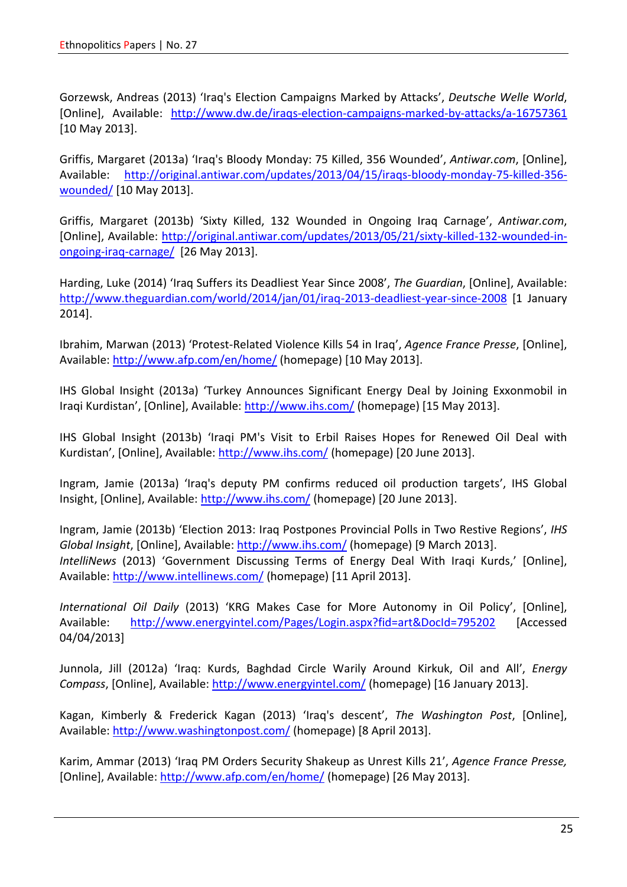Gorzewsk, Andreas (2013) 'Iraq's Election Campaigns Marked by Attacks', *Deutsche Welle World*, [Online], Available: <http://www.dw.de/iraqs-election-campaigns-marked-by-attacks/a-16757361> [10 May 2013].

Griffis, Margaret (2013a) 'Iraq's Bloody Monday: 75 Killed, 356 Wounded', *Antiwar.com*, [Online], Available: [http://original.antiwar.com/updates/2013/04/15/iraqs-bloody-monday-75-killed-356](http://original.antiwar.com/updates/2013/04/15/iraqs-bloody-monday-75-killed-356-wounded/) [wounded/](http://original.antiwar.com/updates/2013/04/15/iraqs-bloody-monday-75-killed-356-wounded/) [10 May 2013].

Griffis, Margaret (2013b) 'Sixty Killed, 132 Wounded in Ongoing Iraq Carnage', *Antiwar.com*, [Online], Available: [http://original.antiwar.com/updates/2013/05/21/sixty-killed-132-wounded-in](http://original.antiwar.com/updates/2013/05/21/sixty-killed-132-wounded-in-ongoing-iraq-carnage/)[ongoing-iraq-carnage/](http://original.antiwar.com/updates/2013/05/21/sixty-killed-132-wounded-in-ongoing-iraq-carnage/) [26 May 2013].

Harding, Luke (2014) 'Iraq Suffers its Deadliest Year Since 2008', *The Guardian*, [Online], Available: <http://www.theguardian.com/world/2014/jan/01/iraq-2013-deadliest-year-since-2008> [1 January 2014].

Ibrahim, Marwan (2013) 'Protest-Related Violence Kills 54 in Iraq', *Agence France Presse*, [Online], Available:<http://www.afp.com/en/home/> (homepage) [10 May 2013].

IHS Global Insight (2013a) 'Turkey Announces Significant Energy Deal by Joining Exxonmobil in Iraqi Kurdistan', [Online], Available: <http://www.ihs.com/> (homepage) [15 May 2013].

IHS Global Insight (2013b) 'Iraqi PM's Visit to Erbil Raises Hopes for Renewed Oil Deal with Kurdistan', [Online], Available: <http://www.ihs.com/> (homepage) [20 June 2013].

Ingram, Jamie (2013a) 'Iraq's deputy PM confirms reduced oil production targets', IHS Global Insight, [Online], Available: <http://www.ihs.com/> (homepage) [20 June 2013].

Ingram, Jamie (2013b) 'Election 2013: Iraq Postpones Provincial Polls in Two Restive Regions', *IHS Global Insight*, [Online], Available: <http://www.ihs.com/> (homepage) [9 March 2013]. *IntelliNews* (2013) 'Government Discussing Terms of Energy Deal With Iraqi Kurds,' [Online], Available: <http://www.intellinews.com/> (homepage) [11 April 2013].

*International Oil Daily* (2013) 'KRG Makes Case for More Autonomy in Oil Policy', [Online], Available: <http://www.energyintel.com/Pages/Login.aspx?fid=art&DocId=795202> [Accessed 04/04/2013]

Junnola, Jill (2012a) 'Iraq: Kurds, Baghdad Circle Warily Around Kirkuk, Oil and All', *Energy Compass*, [Online], Available: <http://www.energyintel.com/> (homepage) [16 January 2013].

Kagan, Kimberly & Frederick Kagan (2013) 'Iraq's descent', *The Washington Post*, [Online], Available:<http://www.washingtonpost.com/> (homepage) [8 April 2013].

Karim, Ammar (2013) 'Iraq PM Orders Security Shakeup as Unrest Kills 21', *Agence France Presse,* [Online], Available:<http://www.afp.com/en/home/> (homepage) [26 May 2013].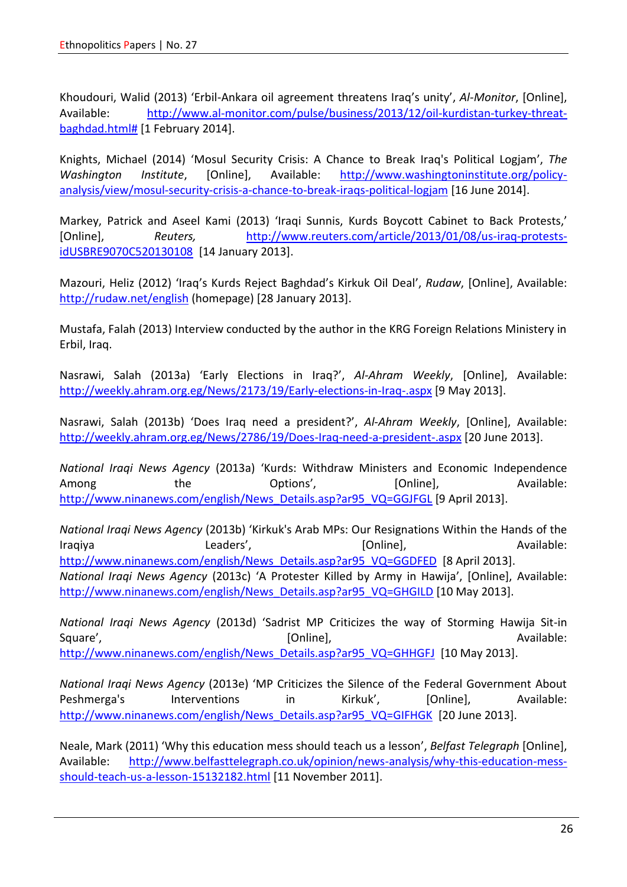Khoudouri, Walid (2013) 'Erbil-Ankara oil agreement threatens Iraq's unity', *Al-Monitor*, [Online], Available: [http://www.al-monitor.com/pulse/business/2013/12/oil-kurdistan-turkey-threat](http://www.al-monitor.com/pulse/business/2013/12/oil-kurdistan-turkey-threat-baghdad.html)[baghdad.html#](http://www.al-monitor.com/pulse/business/2013/12/oil-kurdistan-turkey-threat-baghdad.html) [1 February 2014].

Knights, Michael (2014) 'Mosul Security Crisis: A Chance to Break Iraq's Political Logjam', *The Washington Institute*, [Online], Available: [http://www.washingtoninstitute.org/policy](http://www.washingtoninstitute.org/policy-analysis/view/mosul-security-crisis-a-chance-to-break-iraqs-political-logjam)[analysis/view/mosul-security-crisis-a-chance-to-break-iraqs-political-logjam](http://www.washingtoninstitute.org/policy-analysis/view/mosul-security-crisis-a-chance-to-break-iraqs-political-logjam) [16 June 2014].

Markey, Patrick and Aseel Kami (2013) 'Iraqi Sunnis, Kurds Boycott Cabinet to Back Protests,' [Online], *Reuters,* [http://www.reuters.com/article/2013/01/08/us-iraq-protests](http://www.reuters.com/article/2013/01/08/us-iraq-protests-idUSBRE9070C520130108)[idUSBRE9070C520130108](http://www.reuters.com/article/2013/01/08/us-iraq-protests-idUSBRE9070C520130108) [14 January 2013].

Mazouri, Heliz (2012) 'Iraq's Kurds Reject Baghdad's Kirkuk Oil Deal', *Rudaw*, [Online], Available: <http://rudaw.net/english> (homepage) [28 January 2013].

Mustafa, Falah (2013) Interview conducted by the author in the KRG Foreign Relations Ministery in Erbil, Iraq.

Nasrawi, Salah (2013a) 'Early Elections in Iraq?', *Al-Ahram Weekly*, [Online], Available: <http://weekly.ahram.org.eg/News/2173/19/Early-elections-in-Iraq-.aspx> [9 May 2013].

Nasrawi, Salah (2013b) 'Does Iraq need a president?', *Al-Ahram Weekly*, [Online], Available: <http://weekly.ahram.org.eg/News/2786/19/Does-Iraq-need-a-president-.aspx> [20 June 2013].

*National Iraqi News Agency* (2013a) 'Kurds: Withdraw Ministers and Economic Independence Among and the Coptions', Among Available: [http://www.ninanews.com/english/News\\_Details.asp?ar95\\_VQ=GGJFGL](http://www.ninanews.com/english/News_Details.asp?ar95_VQ=GGJFGL) [9 April 2013].

*National Iraqi News Agency* (2013b) 'Kirkuk's Arab MPs: Our Resignations Within the Hands of the Iraqiya Leaders', [Online], Available: [http://www.ninanews.com/english/News\\_Details.asp?ar95\\_VQ=GGDFED](http://www.ninanews.com/english/News_Details.asp?ar95_VQ=GGDFED) [8 April 2013]. *National Iraqi News Agency* (2013c) 'A Protester Killed by Army in Hawija', [Online], Available: [http://www.ninanews.com/english/News\\_Details.asp?ar95\\_VQ=GHGILD](http://www.ninanews.com/english/News_Details.asp?ar95_VQ=GHGILD) [10 May 2013].

*National Iraqi News Agency* (2013d) 'Sadrist MP Criticizes the way of Storming Hawija Sit-in Square', [Online], Available: [http://www.ninanews.com/english/News\\_Details.asp?ar95\\_VQ=GHHGFJ](http://www.ninanews.com/english/News_Details.asp?ar95_VQ=GHHGFJ) [10 May 2013].

*National Iraqi News Agency* (2013e) 'MP Criticizes the Silence of the Federal Government About Peshmerga's Interventions in Kirkuk', [Online], Available: [http://www.ninanews.com/english/News\\_Details.asp?ar95\\_VQ=GIFHGK](http://www.ninanews.com/english/News_Details.asp?ar95_VQ=GIFHGK) [20 June 2013].

Neale, Mark (2011) 'Why this education mess should teach us a lesson', *Belfast Telegraph* [Online], Available: [http://www.belfasttelegraph.co.uk/opinion/news-analysis/why-this-education-mess](http://www.belfasttelegraph.co.uk/opinion/news-analysis/why-this-education-mess-should-teach-us-a-lesson-15132182.html)[should-teach-us-a-lesson-15132182.html](http://www.belfasttelegraph.co.uk/opinion/news-analysis/why-this-education-mess-should-teach-us-a-lesson-15132182.html) [11 November 2011].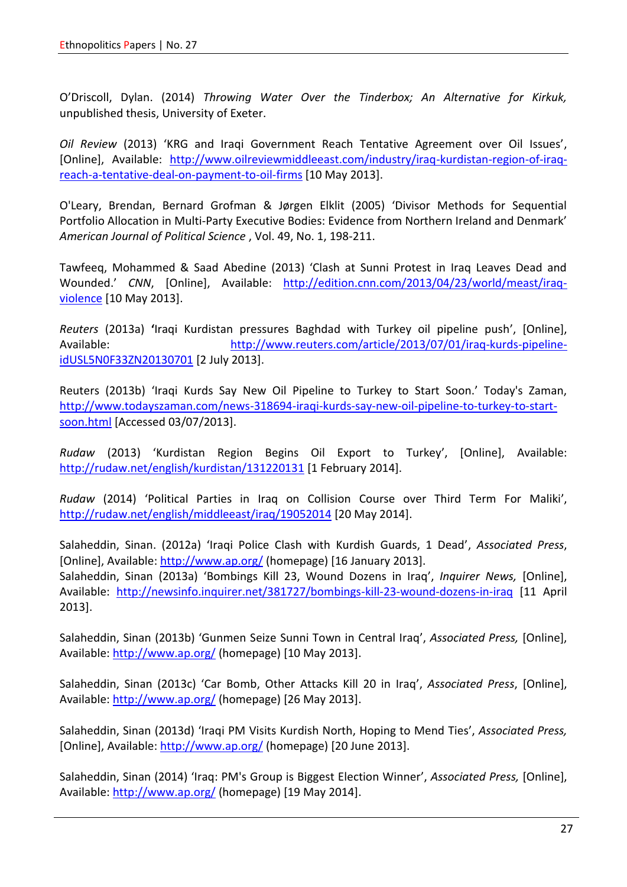O'Driscoll, Dylan. (2014) *Throwing Water Over the Tinderbox; An Alternative for Kirkuk,*  unpublished thesis, University of Exeter.

*Oil Review* (2013) 'KRG and Iraqi Government Reach Tentative Agreement over Oil Issues', [Online], Available: [http://www.oilreviewmiddleeast.com/industry/iraq-kurdistan-region-of-iraq](http://www.oilreviewmiddleeast.com/industry/iraq-kurdistan-region-of-iraq-reach-a-tentative-deal-on-payment-to-oil-firms)[reach-a-tentative-deal-on-payment-to-oil-firms](http://www.oilreviewmiddleeast.com/industry/iraq-kurdistan-region-of-iraq-reach-a-tentative-deal-on-payment-to-oil-firms) [10 May 2013].

O'Leary, Brendan, Bernard Grofman & Jørgen Elklit (2005) 'Divisor Methods for Sequential Portfolio Allocation in Multi-Party Executive Bodies: Evidence from Northern Ireland and Denmark' *American Journal of Political Science* , Vol. 49, No. 1, 198-211.

Tawfeeq, Mohammed & Saad Abedine (2013) 'Clash at Sunni Protest in Iraq Leaves Dead and Wounded.' *CNN*, [Online], Available: [http://edition.cnn.com/2013/04/23/world/meast/iraq](http://edition.cnn.com/2013/04/23/world/meast/iraq-violence)[violence](http://edition.cnn.com/2013/04/23/world/meast/iraq-violence) [10 May 2013].

*Reuters* (2013a) **'**Iraqi Kurdistan pressures Baghdad with Turkey oil pipeline push', [Online], Available: [http://www.reuters.com/article/2013/07/01/iraq-kurds-pipeline](http://www.reuters.com/article/2013/07/01/iraq-kurds-pipeline-idUSL5N0F33ZN20130701)[idUSL5N0F33ZN20130701](http://www.reuters.com/article/2013/07/01/iraq-kurds-pipeline-idUSL5N0F33ZN20130701) [2 July 2013].

Reuters (2013b) 'Iraqi Kurds Say New Oil Pipeline to Turkey to Start Soon.' Today's Zaman, [http://www.todayszaman.com/news-318694-iraqi-kurds-say-new-oil-pipeline-to-turkey-to-start](http://www.todayszaman.com/news-318694-iraqi-kurds-say-new-oil-pipeline-to-turkey-to-start-soon.html)[soon.html](http://www.todayszaman.com/news-318694-iraqi-kurds-say-new-oil-pipeline-to-turkey-to-start-soon.html) [Accessed 03/07/2013].

*Rudaw* (2013) 'Kurdistan Region Begins Oil Export to Turkey', [Online], Available: <http://rudaw.net/english/kurdistan/131220131> [1 February 2014].

*Rudaw* (2014) 'Political Parties in Iraq on Collision Course over Third Term For Maliki', <http://rudaw.net/english/middleeast/iraq/19052014> [20 May 2014].

Salaheddin, Sinan. (2012a) 'Iraqi Police Clash with Kurdish Guards, 1 Dead', *Associated Press*, [Online], Available:<http://www.ap.org/> (homepage) [16 January 2013]. Salaheddin, Sinan (2013a) 'Bombings Kill 23, Wound Dozens in Iraq', *Inquirer News,* [Online], Available: <http://newsinfo.inquirer.net/381727/bombings-kill-23-wound-dozens-in-iraq> [11 April 2013].

Salaheddin, Sinan (2013b) 'Gunmen Seize Sunni Town in Central Iraq', *Associated Press,* [Online], Available:<http://www.ap.org/> (homepage) [10 May 2013].

Salaheddin, Sinan (2013c) 'Car Bomb, Other Attacks Kill 20 in Iraq', *Associated Press*, [Online], Available: <http://www.ap.org/> (homepage) [26 May 2013].

Salaheddin, Sinan (2013d) 'Iraqi PM Visits Kurdish North, Hoping to Mend Ties', *Associated Press,* [Online], Available: <http://www.ap.org/> (homepage) [20 June 2013].

Salaheddin, Sinan (2014) 'Iraq: PM's Group is Biggest Election Winner', *Associated Press,* [Online], Available: <http://www.ap.org/> (homepage) [19 May 2014].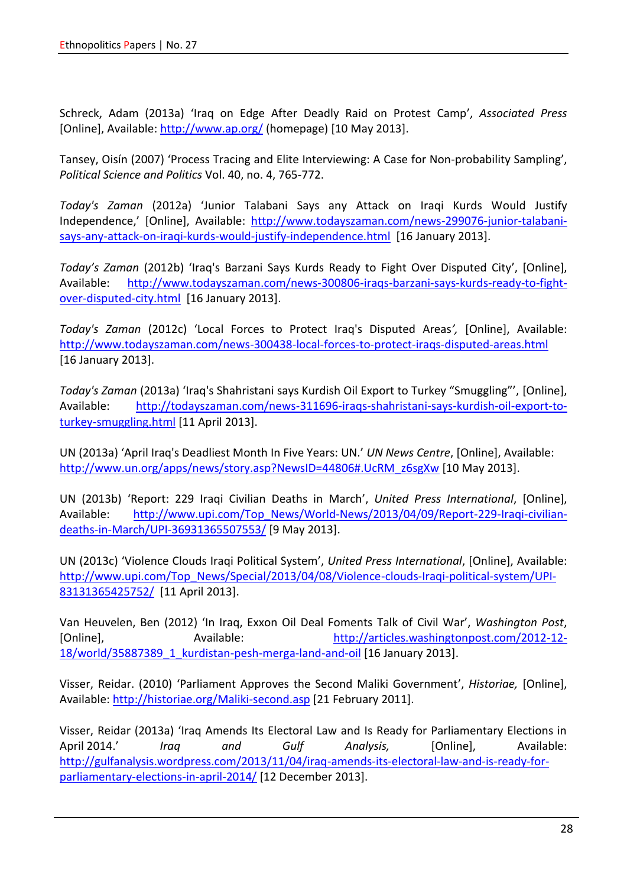Schreck, Adam (2013a) 'Iraq on Edge After Deadly Raid on Protest Camp', *Associated Press* [Online], Available:<http://www.ap.org/> (homepage) [10 May 2013].

Tansey, Oisín (2007) 'Process Tracing and Elite Interviewing: A Case for Non-probability Sampling', *Political Science and Politics* Vol. 40, no. 4, 765-772.

*Today's Zaman* (2012a) 'Junior Talabani Says any Attack on Iraqi Kurds Would Justify Independence,' [Online], Available: [http://www.todayszaman.com/news-299076-junior-talabani](http://www.todayszaman.com/news-299076-junior-talabani-says-any-attack-on-iraqi-kurds-would-justify-independence.html)[says-any-attack-on-iraqi-kurds-would-justify-independence.html](http://www.todayszaman.com/news-299076-junior-talabani-says-any-attack-on-iraqi-kurds-would-justify-independence.html) [16 January 2013].

*Today's Zaman* (2012b) 'Iraq's Barzani Says Kurds Ready to Fight Over Disputed City', [Online], Available: [http://www.todayszaman.com/news-300806-iraqs-barzani-says-kurds-ready-to-fight](http://www.todayszaman.com/news-300806-iraqs-barzani-says-kurds-ready-to-fight-over-disputed-city.html)[over-disputed-city.html](http://www.todayszaman.com/news-300806-iraqs-barzani-says-kurds-ready-to-fight-over-disputed-city.html) [16 January 2013].

*Today's Zaman* (2012c) 'Local Forces to Protect Iraq's Disputed Areas*',* [Online], Available: <http://www.todayszaman.com/news-300438-local-forces-to-protect-iraqs-disputed-areas.html> [16 January 2013].

*Today's Zaman* (2013a) 'Iraq's Shahristani says Kurdish Oil Export to Turkey "Smuggling"', [Online], Available: [http://todayszaman.com/news-311696-iraqs-shahristani-says-kurdish-oil-export-to](http://todayszaman.com/news-311696-iraqs-shahristani-says-kurdish-oil-export-to-turkey-smuggling.html)[turkey-smuggling.html](http://todayszaman.com/news-311696-iraqs-shahristani-says-kurdish-oil-export-to-turkey-smuggling.html) [11 April 2013].

UN (2013a) 'April Iraq's Deadliest Month In Five Years: UN.' *UN News Centre*, [Online], Available: [http://www.un.org/apps/news/story.asp?NewsID=44806#.UcRM\\_z6sgXw](http://www.un.org/apps/news/story.asp?NewsID=44806%23.UcRM_z6sgXw%20) [10 May 2013].

UN (2013b) 'Report: 229 Iraqi Civilian Deaths in March', *United Press International*, [Online], Available: [http://www.upi.com/Top\\_News/World-News/2013/04/09/Report-229-Iraqi-civilian](http://www.upi.com/Top_News/World-News/2013/04/09/Report-229-Iraqi-civilian-deaths-in-March/UPI-36931365507553/)[deaths-in-March/UPI-36931365507553/](http://www.upi.com/Top_News/World-News/2013/04/09/Report-229-Iraqi-civilian-deaths-in-March/UPI-36931365507553/) [9 May 2013].

UN (2013c) 'Violence Clouds Iraqi Political System', *United Press International*, [Online], Available: [http://www.upi.com/Top\\_News/Special/2013/04/08/Violence-clouds-Iraqi-political-system/UPI-](http://www.upi.com/Top_News/Special/2013/04/08/Violence-clouds-Iraqi-political-system/UPI-83131365425752/)[83131365425752/](http://www.upi.com/Top_News/Special/2013/04/08/Violence-clouds-Iraqi-political-system/UPI-83131365425752/) [11 April 2013].

Van Heuvelen, Ben (2012) 'In Iraq, Exxon Oil Deal Foments Talk of Civil War', *Washington Post*, [Online], Available: [http://articles.washingtonpost.com/2012-12-](http://articles.washingtonpost.com/2012-12-18/world/35887389_1_kurdistan-pesh-merga-land-and-oil) [18/world/35887389\\_1\\_kurdistan-pesh-merga-land-and-oil](http://articles.washingtonpost.com/2012-12-18/world/35887389_1_kurdistan-pesh-merga-land-and-oil) [16 January 2013].

Visser, Reidar. (2010) 'Parliament Approves the Second Maliki Government', *Historiae,* [Online], Available:<http://historiae.org/Maliki-second.asp> [21 February 2011].

Visser, Reidar (2013a) 'Iraq Amends Its Electoral Law and Is Ready for Parliamentary Elections in April 2014.' *Iraq and Gulf Analysis,* [Online], Available: [http://gulfanalysis.wordpress.com/2013/11/04/iraq-amends-its-electoral-law-and-is-ready-for](http://gulfanalysis.wordpress.com/2013/11/04/iraq-amends-its-electoral-law-and-is-ready-for-parliamentary-elections-in-april-2014/)[parliamentary-elections-in-april-2014/](http://gulfanalysis.wordpress.com/2013/11/04/iraq-amends-its-electoral-law-and-is-ready-for-parliamentary-elections-in-april-2014/) [12 December 2013].